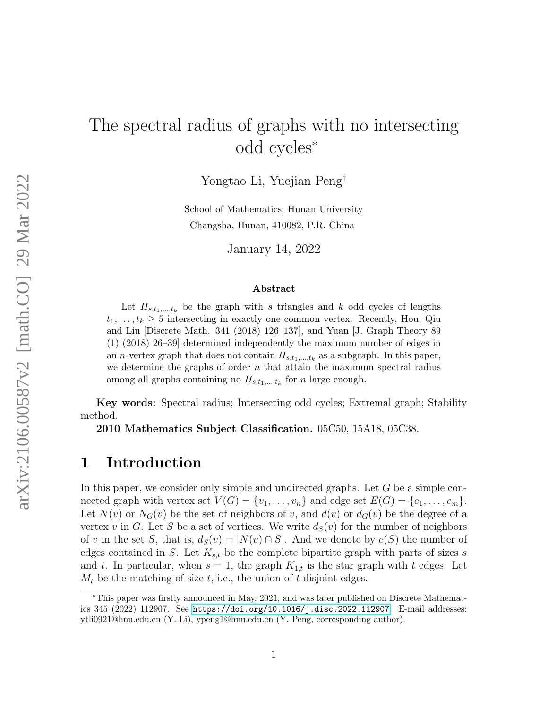# The spectral radius of graphs with no intersecting odd cycles<sup>∗</sup>

Yongtao Li, Yuejian Peng†

School of Mathematics, Hunan University Changsha, Hunan, 410082, P.R. China

January 14, 2022

#### Abstract

Let  $H_{s,t_1,\dots,t_k}$  be the graph with s triangles and k odd cycles of lengths  $t_1, \ldots, t_k \geq 5$  intersecting in exactly one common vertex. Recently, Hou, Qiu and Liu [Discrete Math. 341 (2018) 126–137], and Yuan [J. Graph Theory 89 (1) (2018) 26–39] determined independently the maximum number of edges in an *n*-vertex graph that does not contain  $H_{s,t_1,\dots,t_k}$  as a subgraph. In this paper, we determine the graphs of order  $n$  that attain the maximum spectral radius among all graphs containing no  $H_{s,t_1,\dots,t_k}$  for n large enough.

Key words: Spectral radius; Intersecting odd cycles; Extremal graph; Stability method.

2010 Mathematics Subject Classification. 05C50, 15A18, 05C38.

### 1 Introduction

In this paper, we consider only simple and undirected graphs. Let G be a simple connected graph with vertex set  $V(G) = \{v_1, \ldots, v_n\}$  and edge set  $E(G) = \{e_1, \ldots, e_m\}$ . Let  $N(v)$  or  $N_G(v)$  be the set of neighbors of v, and  $d(v)$  or  $d_G(v)$  be the degree of a vertex v in G. Let S be a set of vertices. We write  $d_S(v)$  for the number of neighbors of v in the set S, that is,  $d_S(v) = |N(v) \cap S|$ . And we denote by  $e(S)$  the number of edges contained in S. Let  $K_{s,t}$  be the complete bipartite graph with parts of sizes s and t. In particular, when  $s = 1$ , the graph  $K_{1,t}$  is the star graph with t edges. Let  $M_t$  be the matching of size t, i.e., the union of t disjoint edges.

<sup>∗</sup>This paper was firstly announced in May, 2021, and was later published on Discrete Mathematics 345 (2022) 112907. See <https://doi.org/10.1016/j.disc.2022.112907>. E-mail addresses: ytli0921@hnu.edu.cn (Y. Li), ypeng1@hnu.edu.cn (Y. Peng, corresponding author).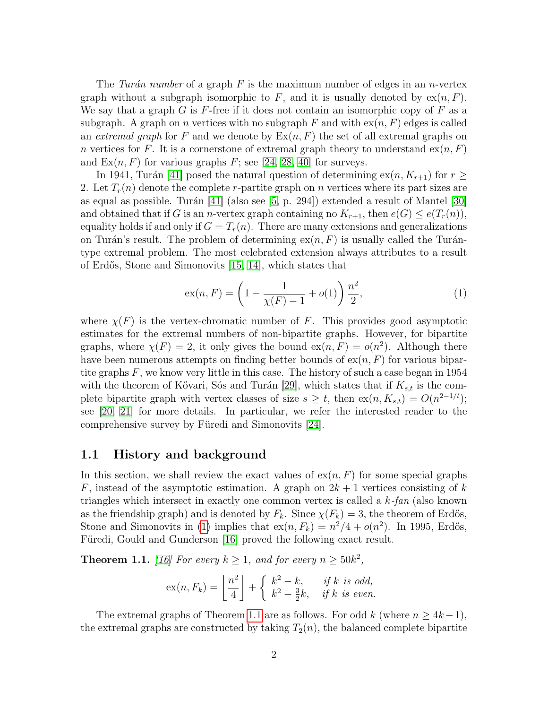The Turán number of a graph F is the maximum number of edges in an n-vertex graph without a subgraph isomorphic to F, and it is usually denoted by  $ex(n, F)$ . We say that a graph G is F-free if it does not contain an isomorphic copy of F as a subgraph. A graph on n vertices with no subgraph F and with  $\exp(n, F)$  edges is called an extremal graph for F and we denote by  $\text{Ex}(n, F)$  the set of all extremal graphs on n vertices for F. It is a cornerstone of extremal graph theory to understand  $ex(n, F)$ and  $Ex(n, F)$  for various graphs F; see [\[24,](#page-23-0) [28,](#page-23-1) [40\]](#page-24-0) for surveys.

In 1941, Turán [\[41\]](#page-24-1) posed the natural question of determining  $ex(n, K_{r+1})$  for  $r \geq$ 2. Let  $T_r(n)$  denote the complete r-partite graph on n vertices where its part sizes are as equal as possible. Turán  $[41]$  (also see  $[5, p. 294]$  $[5, p. 294]$ ) extended a result of Mantel  $[30]$ and obtained that if G is an *n*-vertex graph containing no  $K_{r+1}$ , then  $e(G) \leq e(T_r(n)),$ equality holds if and only if  $G = T_r(n)$ . There are many extensions and generalizations on Turán's result. The problem of determining  $ex(n, F)$  is usually called the Turántype extremal problem. The most celebrated extension always attributes to a result of Erd˝os, Stone and Simonovits [\[15,](#page-22-1) [14\]](#page-22-2), which states that

<span id="page-1-0"></span>
$$
ex(n, F) = \left(1 - \frac{1}{\chi(F) - 1} + o(1)\right) \frac{n^2}{2},
$$
\n(1)

where  $\chi(F)$  is the vertex-chromatic number of F. This provides good asymptotic estimates for the extremal numbers of non-bipartite graphs. However, for bipartite graphs, where  $\chi(F) = 2$ , it only gives the bound  $ex(n, F) = o(n^2)$ . Although there have been numerous attempts on finding better bounds of  $ex(n, F)$  for various bipartite graphs  $F$ , we know very little in this case. The history of such a case began in 1954 with the theorem of Kővari, Sós and Turán [\[29\]](#page-23-3), which states that if  $K_{s,t}$  is the complete bipartite graph with vertex classes of size  $s \geq t$ , then  $ex(n, K_{s,t}) = O(n^{2-1/t})$ ; see [\[20,](#page-23-4) [21\]](#page-23-5) for more details. In particular, we refer the interested reader to the comprehensive survey by Füredi and Simonovits [\[24\]](#page-23-0).

#### 1.1 History and background

In this section, we shall review the exact values of  $ex(n, F)$  for some special graphs F, instead of the asymptotic estimation. A graph on  $2k + 1$  vertices consisting of k triangles which intersect in exactly one common vertex is called a k-fan (also known as the friendship graph) and is denoted by  $F_k$ . Since  $\chi(F_k) = 3$ , the theorem of Erdős, Stone and Simonovits in [\(1\)](#page-1-0) implies that  $ex(n, F_k) = n^2/4 + o(n^2)$ . In 1995, Erdős, Füredi, Gould and Gunderson [\[16\]](#page-23-6) proved the following exact result.

<span id="page-1-1"></span>**Theorem 1.1.** [\[16\]](#page-23-6) For every  $k \ge 1$ , and for every  $n \ge 50k^2$ ,

$$
ex(n, F_k) = \left\lfloor \frac{n^2}{4} \right\rfloor + \left\{ \begin{array}{ll} k^2 - k, & \text{if } k \text{ is odd,} \\ k^2 - \frac{3}{2}k, & \text{if } k \text{ is even.} \end{array} \right.
$$

The extremal graphs of Theorem [1.1](#page-1-1) are as follows. For odd k (where  $n \geq 4k-1$ ), the extremal graphs are constructed by taking  $T_2(n)$ , the balanced complete bipartite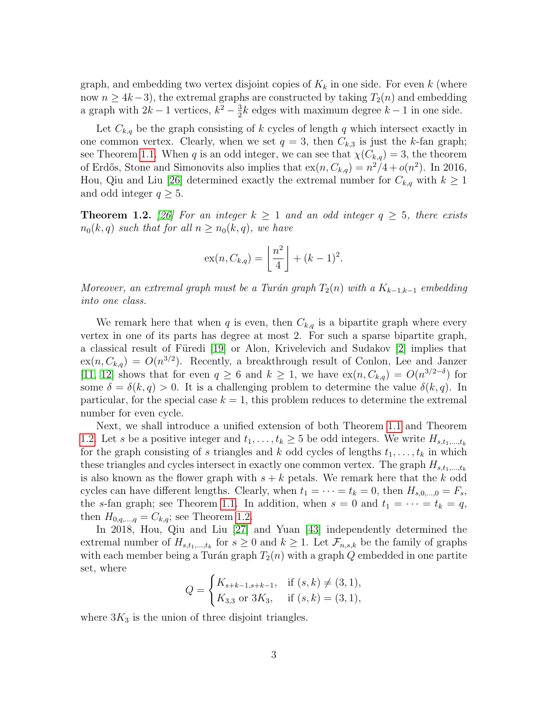graph, and embedding two vertex disjoint copies of  $K_k$  in one side. For even k (where now  $n \geq 4k-3$ , the extremal graphs are constructed by taking  $T_2(n)$  and embedding a graph with  $2k-1$  vertices,  $k^2-\frac{3}{2}$  $\frac{3}{2}k$  edges with maximum degree  $k-1$  in one side.

Let  $C_{k,q}$  be the graph consisting of k cycles of length q which intersect exactly in one common vertex. Clearly, when we set  $q = 3$ , then  $C_{k,3}$  is just the k-fan graph; see Theorem [1.1.](#page-1-1) When q is an odd integer, we can see that  $\chi(C_{k,q}) = 3$ , the theorem of Erdős, Stone and Simonovits also implies that  $ex(n, C_{k,q}) = n^2/4 + o(n^2)$ . In 2016, Hou, Qiu and Liu [\[26\]](#page-23-7) determined exactly the extremal number for  $C_{k,q}$  with  $k \geq 1$ and odd integer  $q \geq 5$ .

<span id="page-2-0"></span>**Theorem 1.2.** [\[26\]](#page-23-7) For an integer  $k \ge 1$  and an odd integer  $q \ge 5$ , there exists  $n_0(k, q)$  such that for all  $n \geq n_0(k, q)$ , we have

$$
\mathrm{ex}(n, C_{k,q}) = \left\lfloor \frac{n^2}{4} \right\rfloor + (k-1)^2.
$$

Moreover, an extremal graph must be a Turán graph  $T_2(n)$  with a  $K_{k-1,k-1}$  embedding into one class.

We remark here that when q is even, then  $C_{k,q}$  is a bipartite graph where every vertex in one of its parts has degree at most 2. For such a sparse bipartite graph, a classical result of Füredi [\[19\]](#page-23-8) or Alon, Krivelevich and Sudakov [\[2\]](#page-22-3) implies that  $ex(n, C_{k,q}) = O(n^{3/2})$ . Recently, a breakthrough result of Conlon, Lee and Janzer [\[11,](#page-22-4) [12\]](#page-22-5) shows that for even  $q \ge 6$  and  $k \ge 1$ , we have  $ex(n, C_{k,q}) = O(n^{3/2-\delta})$  for some  $\delta = \delta(k, q) > 0$ . It is a challenging problem to determine the value  $\delta(k, q)$ . In particular, for the special case  $k = 1$ , this problem reduces to determine the extremal number for even cycle.

Next, we shall introduce a unified extension of both Theorem [1.1](#page-1-1) and Theorem [1.2.](#page-2-0) Let s be a positive integer and  $t_1, \ldots, t_k \geq 5$  be odd integers. We write  $H_{s,t_1,\ldots,t_k}$ for the graph consisting of s triangles and k odd cycles of lengths  $t_1, \ldots, t_k$  in which these triangles and cycles intersect in exactly one common vertex. The graph  $H_{s,t_1,\dots,t_k}$ is also known as the flower graph with  $s + k$  petals. We remark here that the k odd cycles can have different lengths. Clearly, when  $t_1 = \cdots = t_k = 0$ , then  $H_{s,0,\dots,0} = F_s$ , the s-fan graph; see Theorem [1.1.](#page-1-1) In addition, when  $s = 0$  and  $t_1 = \cdots = t_k = q$ , then  $H_{0,q,\dots,q}=C_{k,q}$ ; see Theorem [1.2.](#page-2-0)

In 2018, Hou, Qiu and Liu [\[27\]](#page-23-9) and Yuan [\[43\]](#page-24-2) independently determined the extremal number of  $H_{s,t_1,\dots,t_k}$  for  $s \geq 0$  and  $k \geq 1$ . Let  $\mathcal{F}_{n,s,k}$  be the family of graphs with each member being a Turán graph  $T_2(n)$  with a graph Q embedded in one partite set, where

$$
Q = \begin{cases} K_{s+k-1,s+k-1}, & \text{if } (s,k) \neq (3,1), \\ K_{3,3} \text{ or } 3K_3, & \text{if } (s,k) = (3,1), \end{cases}
$$

where  $3K_3$  is the union of three disjoint triangles.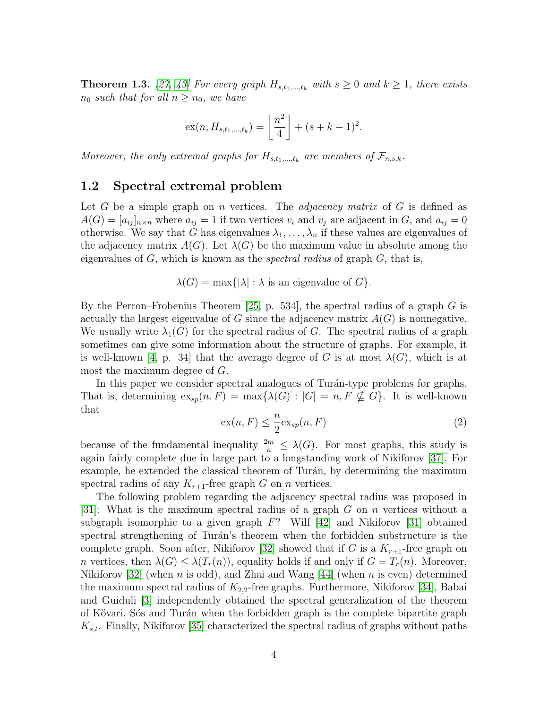<span id="page-3-0"></span>**Theorem 1.3.** [\[27,](#page-23-9) [43\]](#page-24-2) For every graph  $H_{s,t_1,\dots,t_k}$  with  $s \geq 0$  and  $k \geq 1$ , there exists  $n_0$  such that for all  $n \geq n_0$ , we have

$$
ex(n, H_{s,t_1,\dots,t_k}) = \left\lfloor \frac{n^2}{4} \right\rfloor + (s + k - 1)^2.
$$

Moreover, the only extremal graphs for  $H_{s,t_1,\dots,t_k}$  are members of  $\mathcal{F}_{n,s,k}$ .

#### 1.2 Spectral extremal problem

Let G be a simple graph on n vertices. The *adjacency matrix* of G is defined as  $A(G) = [a_{ij}]_{n \times n}$  where  $a_{ij} = 1$  if two vertices  $v_i$  and  $v_j$  are adjacent in G, and  $a_{ij} = 0$ otherwise. We say that G has eigenvalues  $\lambda_1, \ldots, \lambda_n$  if these values are eigenvalues of the adjacency matrix  $A(G)$ . Let  $\lambda(G)$  be the maximum value in absolute among the eigenvalues of  $G$ , which is known as the *spectral radius* of graph  $G$ , that is,

 $\lambda(G) = \max\{|\lambda| : \lambda$  is an eigenvalue of  $G\}.$ 

By the Perron–Frobenius Theorem [\[25,](#page-23-10) p. 534], the spectral radius of a graph  $G$  is actually the largest eigenvalue of G since the adjacency matrix  $A(G)$  is nonnegative. We usually write  $\lambda_1(G)$  for the spectral radius of G. The spectral radius of a graph sometimes can give some information about the structure of graphs. For example, it is well-known [\[4,](#page-22-6) p. 34] that the average degree of G is at most  $\lambda(G)$ , which is at most the maximum degree of G.

In this paper we consider spectral analogues of Turán-type problems for graphs. That is, determining  $ex_{sp}(n, F) = \max\{\lambda(G) : |G| = n, F \nsubseteq G\}$ . It is well-known that

$$
ex(n, F) \leq \frac{n}{2}ex_{sp}(n, F)
$$
\n(2)

because of the fundamental inequality  $\frac{2m}{n} \leq \lambda(G)$ . For most graphs, this study is again fairly complete due in large part to a longstanding work of Nikiforov [\[37\]](#page-24-3). For example, he extended the classical theorem of Turán, by determining the maximum spectral radius of any  $K_{r+1}$ -free graph G on n vertices.

The following problem regarding the adjacency spectral radius was proposed in [\[31\]](#page-23-11): What is the maximum spectral radius of a graph G on n vertices without a subgraph isomorphic to a given graph  $F$ ? Wilf [\[42\]](#page-24-4) and Nikiforov [\[31\]](#page-23-11) obtained spectral strengthening of Turán's theorem when the forbidden substructure is the complete graph. Soon after, Nikiforov [\[32\]](#page-24-5) showed that if G is a  $K_{r+1}$ -free graph on n vertices, then  $\lambda(G) \leq \lambda(T_r(n))$ , equality holds if and only if  $G = T_r(n)$ . Moreover, Nikiforov [\[32\]](#page-24-5) (when *n* is odd), and Zhai and Wang [\[44\]](#page-24-6) (when *n* is even) determined the maximum spectral radius of  $K_{2,2}$ -free graphs. Furthermore, Nikiforov [\[34\]](#page-24-7), Babai and Guiduli [\[3\]](#page-22-7) independently obtained the spectral generalization of the theorem of Kővari, Sós and Turán when the forbidden graph is the complete bipartite graph  $K_{s,t}$ . Finally, Nikiforov [\[35\]](#page-24-8) characterized the spectral radius of graphs without paths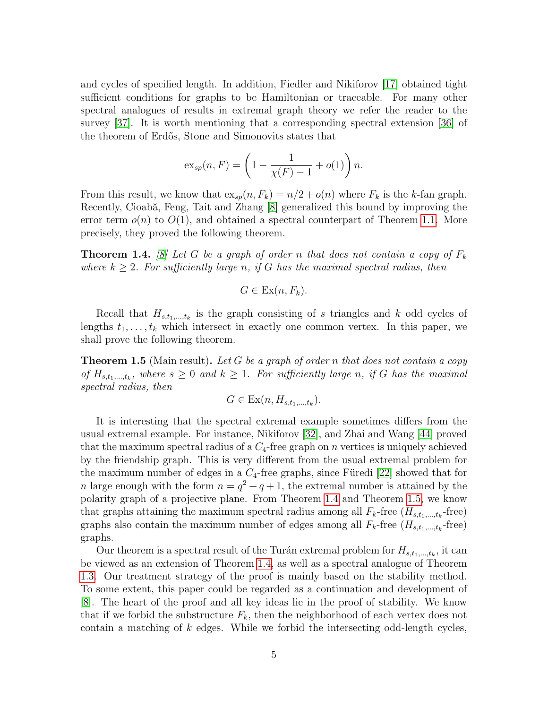and cycles of specified length. In addition, Fiedler and Nikiforov [\[17\]](#page-23-12) obtained tight sufficient conditions for graphs to be Hamiltonian or traceable. For many other spectral analogues of results in extremal graph theory we refer the reader to the survey [\[37\]](#page-24-3). It is worth mentioning that a corresponding spectral extension [\[36\]](#page-24-9) of the theorem of Erd˝os, Stone and Simonovits states that

$$
\operatorname{ex}_{sp}(n, F) = \left(1 - \frac{1}{\chi(F) - 1} + o(1)\right)n.
$$

From this result, we know that  $\exp(n, F_k) = n/2 + o(n)$  where  $F_k$  is the k-fan graph. Recently, Cioabă, Feng, Tait and Zhang [\[8\]](#page-22-8) generalized this bound by improving the error term  $o(n)$  to  $O(1)$ , and obtained a spectral counterpart of Theorem [1.1.](#page-1-1) More precisely, they proved the following theorem.

<span id="page-4-0"></span>**Theorem 1.4.** [\[8\]](#page-22-8) Let G be a graph of order n that does not contain a copy of  $F_k$ where  $k \geq 2$ . For sufficiently large n, if G has the maximal spectral radius, then

$$
G \in \operatorname{Ex}(n, F_k).
$$

Recall that  $H_{s,t_1,\dots,t_k}$  is the graph consisting of s triangles and k odd cycles of lengths  $t_1, \ldots, t_k$  which intersect in exactly one common vertex. In this paper, we shall prove the following theorem.

<span id="page-4-1"></span>**Theorem 1.5** (Main result). Let G be a graph of order n that does not contain a copy of  $H_{s,t_1,\dots,t_k}$ , where  $s\geq 0$  and  $k\geq 1$ . For sufficiently large n, if G has the maximal spectral radius, then

$$
G \in \operatorname{Ex}(n, H_{s,t_1,\ldots,t_k}).
$$

It is interesting that the spectral extremal example sometimes differs from the usual extremal example. For instance, Nikiforov [\[32\]](#page-24-5), and Zhai and Wang [\[44\]](#page-24-6) proved that the maximum spectral radius of a  $C_4$ -free graph on n vertices is uniquely achieved by the friendship graph. This is very different from the usual extremal problem for the maximum number of edges in a  $C_4$ -free graphs, since Füredi [\[22\]](#page-23-13) showed that for *n* large enough with the form  $n = q^2 + q + 1$ , the extremal number is attained by the polarity graph of a projective plane. From Theorem [1.4](#page-4-0) and Theorem [1.5,](#page-4-1) we know that graphs attaining the maximum spectral radius among all  $F_k$ -free  $(H_{s,t_1,\ldots,t_k}$ -free) graphs also contain the maximum number of edges among all  $F_k$ -free  $(H_{s,t_1,\ldots,t_k}$ -free) graphs.

Our theorem is a spectral result of the Turán extremal problem for  $H_{s,t_1,\dots,t_k}$ , it can be viewed as an extension of Theorem [1.4,](#page-4-0) as well as a spectral analogue of Theorem [1.3.](#page-3-0) Our treatment strategy of the proof is mainly based on the stability method. To some extent, this paper could be regarded as a continuation and development of [\[8\]](#page-22-8). The heart of the proof and all key ideas lie in the proof of stability. We know that if we forbid the substructure  $F_k$ , then the neighborhood of each vertex does not contain a matching of k edges. While we forbid the intersecting odd-length cycles,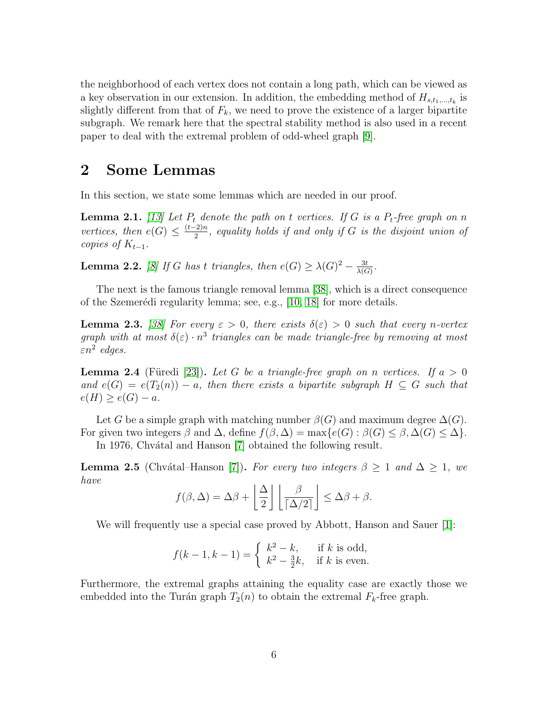the neighborhood of each vertex does not contain a long path, which can be viewed as a key observation in our extension. In addition, the embedding method of  $H_{s,t_1,\dots,t_k}$  is slightly different from that of  $F_k$ , we need to prove the existence of a larger bipartite subgraph. We remark here that the spectral stability method is also used in a recent paper to deal with the extremal problem of odd-wheel graph [\[9\]](#page-22-9).

### 2 Some Lemmas

In this section, we state some lemmas which are needed in our proof.

<span id="page-5-1"></span>**Lemma 2.1.** [\[13\]](#page-22-10) Let  $P_t$  denote the path on t vertices. If G is a  $P_t$ -free graph on n vertices, then  $e(G) \leq \frac{(t-2)n}{2}$  $\frac{2^{2}m}{2}$ , equality holds if and only if G is the disjoint union of copies of  $K_{t-1}$ .

<span id="page-5-0"></span>**Lemma 2.2.** [\[8\]](#page-22-8) If G has t triangles, then  $e(G) \geq \lambda(G)^2 - \frac{3t}{\lambda(G)}$  $\frac{3t}{\lambda(G)}$ .

The next is the famous triangle removal lemma [\[38\]](#page-24-10), which is a direct consequence of the Szemerédi regularity lemma; see, e.g.,  $[10, 18]$  $[10, 18]$  for more details.

<span id="page-5-2"></span>**Lemma 2.3.** [\[38\]](#page-24-10) For every  $\varepsilon > 0$ , there exists  $\delta(\varepsilon) > 0$  such that every n-vertex graph with at most  $\delta(\varepsilon) \cdot n^3$  triangles can be made triangle-free by removing at most  $\varepsilon n^2$  edges.

<span id="page-5-3"></span>**Lemma 2.4** (Füredi [\[23\]](#page-23-15)). Let G be a triangle-free graph on n vertices. If  $a > 0$ and  $e(G) = e(T_2(n)) - a$ , then there exists a bipartite subgraph  $H \subseteq G$  such that  $e(H) \ge e(G) - a.$ 

Let G be a simple graph with matching number  $\beta(G)$  and maximum degree  $\Delta(G)$ . For given two integers  $\beta$  and  $\Delta$ , define  $f(\beta, \Delta) = \max\{e(G) : \beta(G) \leq \beta, \Delta(G) \leq \Delta\}.$ 

In 1976, Chvátal and Hanson [\[7\]](#page-22-12) obtained the following result.

<span id="page-5-4"></span>**Lemma 2.5** (Chvátal–Hanson [\[7\]](#page-22-12)). For every two integers  $\beta \geq 1$  and  $\Delta \geq 1$ , we have

$$
f(\beta,\Delta)=\Delta\beta+\left\lfloor \frac{\Delta}{2}\right\rfloor\left\lfloor \frac{\beta}{\lceil \Delta/2\rceil}\right\rfloor\leq \Delta\beta+\beta.
$$

We will frequently use a special case proved by Abbott, Hanson and Sauer [\[1\]](#page-22-13):

$$
f(k-1, k-1) = \begin{cases} k^2 - k, & \text{if } k \text{ is odd,} \\ k^2 - \frac{3}{2}k, & \text{if } k \text{ is even.} \end{cases}
$$

Furthermore, the extremal graphs attaining the equality case are exactly those we embedded into the Turán graph  $T_2(n)$  to obtain the extremal  $F_k$ -free graph.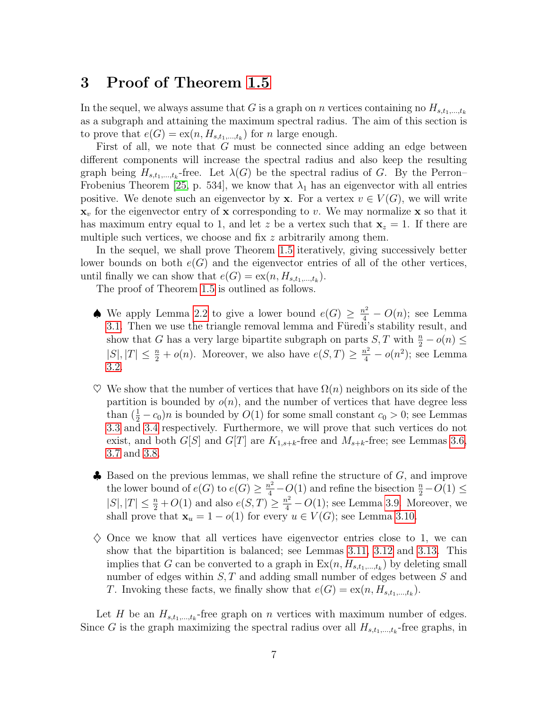## 3 Proof of Theorem [1.5](#page-4-1)

In the sequel, we always assume that G is a graph on n vertices containing no  $H_{s,t_1,\dots,t_k}$ as a subgraph and attaining the maximum spectral radius. The aim of this section is to prove that  $e(G) = \mathit{ex}(n, H_{s,t_1,\dots,t_k})$  for n large enough.

First of all, we note that G must be connected since adding an edge between different components will increase the spectral radius and also keep the resulting graph being  $H_{s,t_1,\dots,t_k}$ -free. Let  $\lambda(G)$  be the spectral radius of G. By the Perron-Frobenius Theorem [\[25,](#page-23-10) p. 534], we know that  $\lambda_1$  has an eigenvector with all entries positive. We denote such an eigenvector by **x**. For a vertex  $v \in V(G)$ , we will write  $x<sub>v</sub>$  for the eigenvector entry of x corresponding to v. We may normalize x so that it has maximum entry equal to 1, and let z be a vertex such that  $x_z = 1$ . If there are multiple such vertices, we choose and fix z arbitrarily among them.

In the sequel, we shall prove Theorem [1.5](#page-4-1) iteratively, giving successively better lower bounds on both  $e(G)$  and the eigenvector entries of all of the other vertices, until finally we can show that  $e(G) = \text{ex}(n, H_{s,t_1,\dots,t_k}).$ 

The proof of Theorem [1.5](#page-4-1) is outlined as follows.

- ♦ We apply Lemma [2.2](#page-5-0) to give a lower bound  $e(G) \geq \frac{n^2}{4} O(n)$ ; see Lemma [3.1.](#page-7-0) Then we use the triangle removal lemma and Füredi's stability result, and show that G has a very large bipartite subgraph on parts  $S, T$  with  $\frac{n}{2} - o(n) \leq$  $|S|, |T| \leq \frac{n}{2} + o(n)$ . Moreover, we also have  $e(S,T) \geq \frac{n^2}{4} - o(n^2)$ ; see Lemma [3.2.](#page-7-1)
- $\heartsuit$  We show that the number of vertices that have  $\Omega(n)$  neighbors on its side of the partition is bounded by  $o(n)$ , and the number of vertices that have degree less than  $(\frac{1}{2} - c_0)n$  is bounded by  $O(1)$  for some small constant  $c_0 > 0$ ; see Lemmas [3.3](#page-8-0) and [3.4](#page-9-0) respectively. Furthermore, we will prove that such vertices do not exist, and both  $G[S]$  and  $G[T]$  are  $K_{1,s+k}$ -free and  $M_{s+k}$ -free; see Lemmas [3.6,](#page-9-1) [3.7](#page-11-0) and [3.8.](#page-13-0)
- $\clubsuit$  Based on the previous lemmas, we shall refine the structure of  $G$ , and improve the lower bound of  $e(G)$  to  $e(G) \geq \frac{n^2}{4} - O(1)$  and refine the bisection  $\frac{n}{2} - O(1) \leq$  $|S|, |T| \leq \frac{n}{2} + O(1)$  and also  $e(S,T) \geq \frac{n^2}{4} - O(1)$ ; see Lemma [3.9.](#page-14-0) Moreover, we shall prove that  $\mathbf{x}_u = 1 - o(1)$  for every  $u \in V(G)$ ; see Lemma [3.10.](#page-15-0)
- $\diamond$  Once we know that all vertices have eigenvector entries close to 1, we can show that the bipartition is balanced; see Lemmas [3.11,](#page-17-0) [3.12](#page-18-0) and [3.13.](#page-19-0) This implies that G can be converted to a graph in  $Ex(n, H_{s,t_1,\ldots,t_k})$  by deleting small number of edges within  $S, T$  and adding small number of edges between  $S$  and T. Invoking these facts, we finally show that  $e(G) = \text{ex}(n, H_{s,t_1,\dots,t_k})$ .

Let H be an  $H_{s,t_1,\dots,t_k}$ -free graph on n vertices with maximum number of edges. Since G is the graph maximizing the spectral radius over all  $H_{s,t_1,\dots,t_k}$ -free graphs, in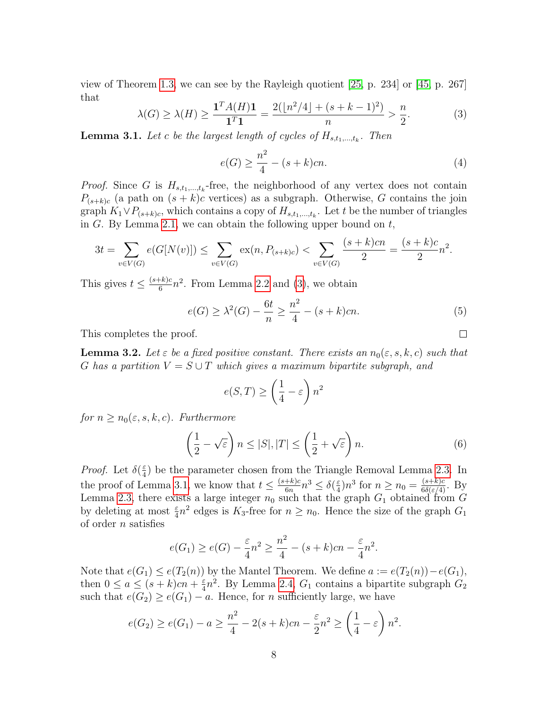view of Theorem [1.3,](#page-3-0) we can see by the Rayleigh quotient [\[25,](#page-23-10) p. 234] or [\[45,](#page-24-11) p. 267] that

<span id="page-7-2"></span>
$$
\lambda(G) \ge \lambda(H) \ge \frac{\mathbf{1}^T A(H)\mathbf{1}}{\mathbf{1}^T \mathbf{1}} = \frac{2(\lfloor n^2/4 \rfloor + (s + k - 1)^2)}{n} > \frac{n}{2}.\tag{3}
$$

<span id="page-7-0"></span>**Lemma 3.1.** Let c be the largest length of cycles of  $H_{s,t_1,\dots,t_k}$ . Then

$$
e(G) \ge \frac{n^2}{4} - (s+k)cn.
$$
 (4)

*Proof.* Since G is  $H_{s,t_1,\dots,t_k}$ -free, the neighborhood of any vertex does not contain  $P_{(s+k)c}$  (a path on  $(s+k)c$  vertices) as a subgraph. Otherwise, G contains the join graph  $K_1 \vee P_{(s+k)c}$ , which contains a copy of  $H_{s,t_1,\dots,t_k}$ . Let t be the number of triangles in G. By Lemma [2.1,](#page-5-1) we can obtain the following upper bound on  $t$ ,

$$
3t = \sum_{v \in V(G)} e(G[N(v)]) \le \sum_{v \in V(G)} \exp(n, P_{(s+k)c}) < \sum_{v \in V(G)} \frac{(s+k)cn}{2} = \frac{(s+k)c}{2}n^2.
$$

This gives  $t \leq \frac{(s+k)c}{6}$  $\frac{f(k)c}{6}n^2$ . From Lemma [2.2](#page-5-0) and [\(3\)](#page-7-2), we obtain

<span id="page-7-4"></span>
$$
e(G) \ge \lambda^2(G) - \frac{6t}{n} \ge \frac{n^2}{4} - (s+k)cn.
$$
 (5)

 $\Box$ 

This completes the proof.

<span id="page-7-1"></span>**Lemma 3.2.** Let  $\varepsilon$  be a fixed positive constant. There exists an  $n_0(\varepsilon, s, k, c)$  such that G has a partition  $V = S \cup T$  which gives a maximum bipartite subgraph, and

$$
e(S,T) \ge \left(\frac{1}{4} - \varepsilon\right) n^2
$$

for  $n \geq n_0(\varepsilon, s, k, c)$ . Furthermore

<span id="page-7-3"></span>
$$
\left(\frac{1}{2} - \sqrt{\varepsilon}\right) n \le |S|, |T| \le \left(\frac{1}{2} + \sqrt{\varepsilon}\right) n. \tag{6}
$$

*Proof.* Let  $\delta(\frac{\varepsilon}{4})$  $\frac{\varepsilon}{4}$ ) be the parameter chosen from the Triangle Removal Lemma [2.3.](#page-5-2) In the proof of Lemma [3.1,](#page-7-0) we know that  $t \leq \frac{(s+k)c}{6m}$  $\frac{+k)c}{6n}n^3 \leq \delta(\frac{\varepsilon}{4})$  $\frac{\varepsilon}{4}$ ) $n^3$  for  $n \ge n_0 = \frac{(s+k)c}{6\delta(\varepsilon/4)}$ . By Lemma [2.3,](#page-5-2) there exists a large integer  $n_0$  such that the graph  $G_1$  obtained from G by deleting at most  $\frac{\varepsilon}{4}n^2$  edges is  $K_3$ -free for  $n \ge n_0$ . Hence the size of the graph  $G_1$ of order n satisfies

$$
e(G_1) \ge e(G) - \frac{\varepsilon}{4}n^2 \ge \frac{n^2}{4} - (s+k)cn - \frac{\varepsilon}{4}n^2.
$$

Note that  $e(G_1) \leq e(T_2(n))$  by the Mantel Theorem. We define  $a := e(T_2(n)) - e(G_1)$ , then  $0 \le a \le (s+k)c$ n +  $\frac{\varepsilon}{4}$  $\frac{\varepsilon}{4}n^2$ . By Lemma [2.4,](#page-5-3)  $G_1$  contains a bipartite subgraph  $G_2$ such that  $e(G_2) \geq e(G_1) - a$ . Hence, for *n* sufficiently large, we have

$$
e(G_2) \ge e(G_1) - a \ge \frac{n^2}{4} - 2(s+k)c_n - \frac{\varepsilon}{2}n^2 \ge \left(\frac{1}{4} - \varepsilon\right)n^2.
$$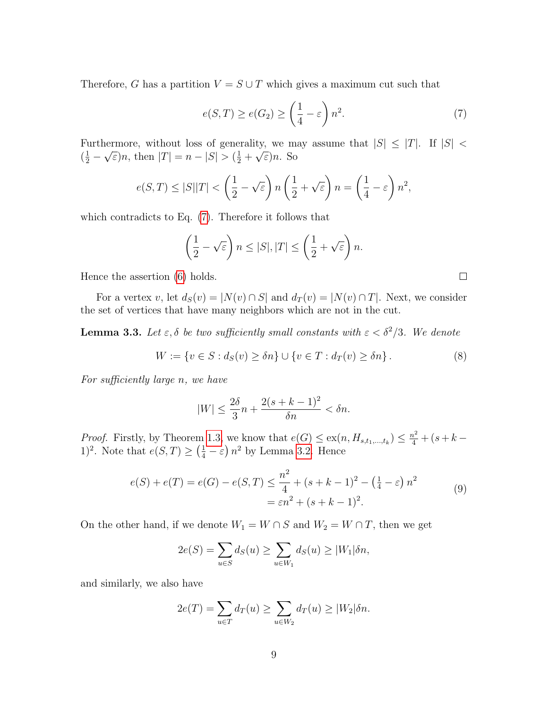Therefore, G has a partition  $V = S \cup T$  which gives a maximum cut such that

<span id="page-8-1"></span>
$$
e(S,T) \ge e(G_2) \ge \left(\frac{1}{4} - \varepsilon\right) n^2. \tag{7}
$$

Furthermore, without loss of generality, we may assume that  $|S| \leq |T|$ . If  $|S|$  $(\frac{1}{2} -$ ا<br>ا  $\epsilon$ )n, then  $|T| = n - |S| > (\frac{1}{2} + \epsilon)$ √ ε)n. So

$$
e(S,T) \le |S||T| < \left(\frac{1}{2} - \sqrt{\varepsilon}\right)n\left(\frac{1}{2} + \sqrt{\varepsilon}\right)n = \left(\frac{1}{4} - \varepsilon\right)n^2,
$$

which contradicts to Eq. [\(7\)](#page-8-1). Therefore it follows that

$$
\left(\frac{1}{2} - \sqrt{\varepsilon}\right) n \leq |S|, |T| \leq \left(\frac{1}{2} + \sqrt{\varepsilon}\right) n.
$$

Hence the assertion [\(6\)](#page-7-3) holds.

For a vertex v, let  $d_S(v) = |N(v) \cap S|$  and  $d_T(v) = |N(v) \cap T|$ . Next, we consider the set of vertices that have many neighbors which are not in the cut.

<span id="page-8-0"></span>**Lemma 3.3.** Let  $\varepsilon$ ,  $\delta$  be two sufficiently small constants with  $\varepsilon < \delta^2/3$ . We denote

<span id="page-8-3"></span>
$$
W := \{ v \in S : d_S(v) \ge \delta n \} \cup \{ v \in T : d_T(v) \ge \delta n \}.
$$
 (8)

For sufficiently large n, we have

$$
|W| \le \frac{2\delta}{3}n + \frac{2(s+k-1)^2}{\delta n} < \delta n.
$$

*Proof.* Firstly, by Theorem [1.3,](#page-3-0) we know that  $e(G) \le ex(n, H_{s,t_1,\dots,t_k}) \le \frac{n^2}{4} + (s + k -$ 1)<sup>2</sup>. Note that  $e(S,T) \geq (\frac{1}{4} - \varepsilon) n^2$  by Lemma [3.2.](#page-7-1) Hence

<span id="page-8-2"></span>
$$
e(S) + e(T) = e(G) - e(S, T) \le \frac{n^2}{4} + (s + k - 1)^2 - (\frac{1}{4} - \varepsilon) n^2
$$
  
=  $\varepsilon n^2 + (s + k - 1)^2$ . (9)

On the other hand, if we denote  $W_1 = W \cap S$  and  $W_2 = W \cap T$ , then we get

$$
2e(S) = \sum_{u \in S} d_S(u) \ge \sum_{u \in W_1} d_S(u) \ge |W_1|\delta n,
$$

and similarly, we also have

$$
2e(T) = \sum_{u \in T} d_T(u) \ge \sum_{u \in W_2} d_T(u) \ge |W_2|\delta n.
$$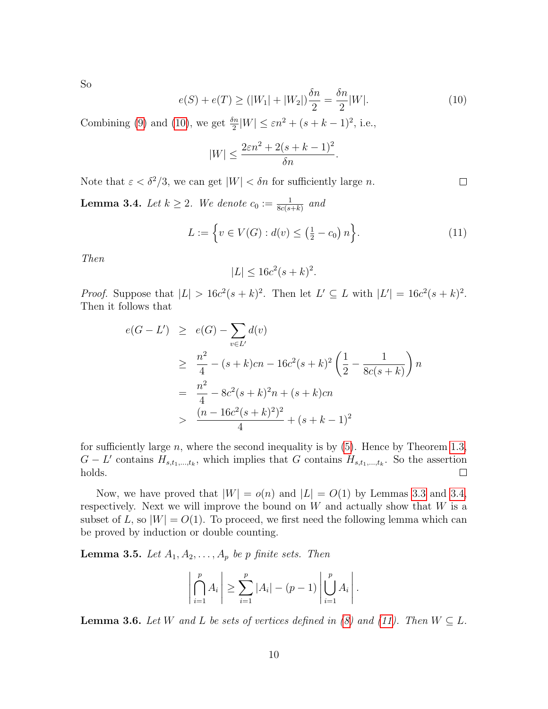So

<span id="page-9-2"></span>
$$
e(S) + e(T) \ge (|W_1| + |W_2|) \frac{\delta n}{2} = \frac{\delta n}{2} |W|.
$$
 (10)

Combining [\(9\)](#page-8-2) and [\(10\)](#page-9-2), we get  $\frac{\delta n}{2}|W| \leq \varepsilon n^2 + (s + k - 1)^2$ , i.e.,

$$
|W| \le \frac{2\varepsilon n^2 + 2(s + k - 1)^2}{\delta n}.
$$

Note that  $\varepsilon < \delta^2/3$ , we can get  $|W| < \delta n$  for sufficiently large n.

<span id="page-9-0"></span>**Lemma 3.4.** Let  $k \geq 2$ . We denote  $c_0 := \frac{1}{8c(s+k)}$  and

<span id="page-9-3"></span>
$$
L := \left\{ v \in V(G) : d(v) \le \left( \frac{1}{2} - c_0 \right) n \right\}.
$$
 (11)

 $\Box$ 

Then

$$
|L| \le 16c^2(s+k)^2.
$$

*Proof.* Suppose that  $|L| > 16c^2(s+k)^2$ . Then let  $L' \subseteq L$  with  $|L'| = 16c^2(s+k)^2$ . Then it follows that

$$
e(G - L') \ge e(G) - \sum_{v \in L'} d(v)
$$
  
\n
$$
\ge \frac{n^2}{4} - (s + k)cn - 16c^2(s + k)^2 \left(\frac{1}{2} - \frac{1}{8c(s + k)}\right)n
$$
  
\n
$$
= \frac{n^2}{4} - 8c^2(s + k)^2n + (s + k)cn
$$
  
\n
$$
> \frac{(n - 16c^2(s + k)^2)^2}{4} + (s + k - 1)^2
$$

for sufficiently large n, where the second inequality is by  $(5)$ . Hence by Theorem [1.3,](#page-3-0)  $G - L'$  contains  $H_{s,t_1,\dots,t_k}$ , which implies that G contains  $H_{s,t_1,\dots,t_k}$ . So the assertion holds.  $\Box$ 

Now, we have proved that  $|W| = o(n)$  and  $|L| = O(1)$  by Lemmas [3.3](#page-8-0) and [3.4,](#page-9-0) respectively. Next we will improve the bound on  $W$  and actually show that  $W$  is a subset of L, so  $|W| = O(1)$ . To proceed, we first need the following lemma which can be proved by induction or double counting.

<span id="page-9-4"></span>**Lemma 3.5.** Let  $A_1, A_2, \ldots, A_p$  be p finite sets. Then

$$
\left|\bigcap_{i=1}^p A_i\right| \geq \sum_{i=1}^p |A_i| - (p-1)\left|\bigcup_{i=1}^p A_i\right|.
$$

<span id="page-9-1"></span>**Lemma 3.6.** Let W and L be sets of vertices defined in [\(8\)](#page-8-3) and [\(11\)](#page-9-3). Then  $W \subseteq L$ .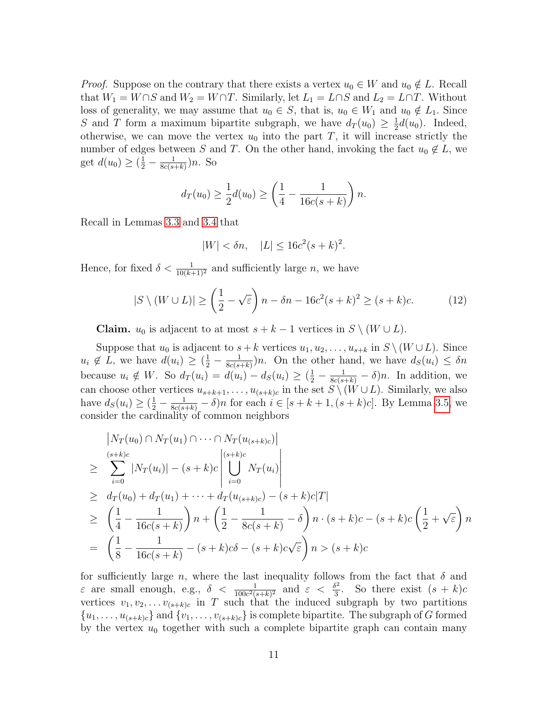*Proof.* Suppose on the contrary that there exists a vertex  $u_0 \in W$  and  $u_0 \notin L$ . Recall that  $W_1 = W \cap S$  and  $W_2 = W \cap T$ . Similarly, let  $L_1 = L \cap S$  and  $L_2 = L \cap T$ . Without loss of generality, we may assume that  $u_0 \in S$ , that is,  $u_0 \in W_1$  and  $u_0 \notin L_1$ . Since S and T form a maximum bipartite subgraph, we have  $d_T(u_0) \geq \frac{1}{2}$  $\frac{1}{2}d(u_0)$ . Indeed, otherwise, we can move the vertex  $u_0$  into the part T, it will increase strictly the number of edges between S and T. On the other hand, invoking the fact  $u_0 \notin L$ , we get  $d(u_0) \geq (\frac{1}{2} - \frac{1}{8c(s - 1)})$  $\frac{1}{8c(s+k)}$ )n. So

$$
d_T(u_0) \ge \frac{1}{2}d(u_0) \ge \left(\frac{1}{4} - \frac{1}{16c(s+k)}\right)n.
$$

Recall in Lemmas [3.3](#page-8-0) and [3.4](#page-9-0) that

$$
|W| < \delta n, \quad |L| \le 16c^2(s+k)^2.
$$

Hence, for fixed  $\delta < \frac{1}{10(k+1)^2}$  and sufficiently large *n*, we have

<span id="page-10-0"></span>
$$
|S \setminus (W \cup L)| \ge \left(\frac{1}{2} - \sqrt{\varepsilon}\right)n - \delta n - 16c^2(s+k)^2 \ge (s+k)c. \tag{12}
$$

**Claim.**  $u_0$  is adjacent to at most  $s + k - 1$  vertices in  $S \setminus (W \cup L)$ .

Suppose that  $u_0$  is adjacent to  $s + k$  vertices  $u_1, u_2, \ldots, u_{s+k}$  in  $S \setminus (W \cup L)$ . Since  $u_i \notin L$ , we have  $d(u_i) \geq (\frac{1}{2} - \frac{1}{8c(s_i)})$  $\frac{1}{8c(s+k)}$ )n. On the other hand, we have  $d_S(u_i) \leq \delta n$ because  $u_i \notin W$ . So  $d_T(u_i) = d(u_i) - d_S(u_i) \geq (\frac{1}{2} - \frac{1}{8c(s+k)} - \delta)n$ . In addition, we can choose other vertices  $u_{s+k+1}, \ldots, u_{(s+k)c}$  in the set  $S \setminus (W \cup L)$ . Similarly, we also have  $d_S(u_i) \geq (\frac{1}{2} - \frac{1}{8c(s+k)} - \delta)n$  for each  $i \in [s+k+1, (s+k)c]$ . By Lemma [3.5,](#page-9-4) we consider the cardinality of common neighbors

$$
|N_T(u_0) \cap N_T(u_1) \cap \cdots \cap N_T(u_{(s+k)c})|
$$
  
\n
$$
\geq \sum_{i=0}^{(s+k)c} |N_T(u_i)| - (s+k)c \left| \bigcup_{i=0}^{(s+k)c} N_T(u_i) \right|
$$
  
\n
$$
\geq d_T(u_0) + d_T(u_1) + \cdots + d_T(u_{(s+k)c}) - (s+k)c|T|
$$
  
\n
$$
\geq \left( \frac{1}{4} - \frac{1}{16c(s+k)} \right) n + \left( \frac{1}{2} - \frac{1}{8c(s+k)} - \delta \right) n \cdot (s+k)c - (s+k)c \left( \frac{1}{2} + \sqrt{\epsilon} \right) n
$$
  
\n
$$
= \left( \frac{1}{8} - \frac{1}{16c(s+k)} - (s+k)c\delta - (s+k)c\sqrt{\epsilon} \right) n > (s+k)c
$$

for sufficiently large n, where the last inequality follows from the fact that  $\delta$  and  $\varepsilon$  are small enough, e.g.,  $\delta < \frac{1}{100c^2(s+k)^2}$  and  $\varepsilon < \frac{\delta^2}{3}$  $\frac{3^2}{3}$ . So there exist  $(s + k)c$ vertices  $v_1, v_2, \ldots v_{(s+k)c}$  in T such that the induced subgraph by two partitions  $\{u_1, \ldots, u_{(s+k)c}\}\$  and  $\{v_1, \ldots, v_{(s+k)c}\}\$  is complete bipartite. The subgraph of G formed by the vertex  $u_0$  together with such a complete bipartite graph can contain many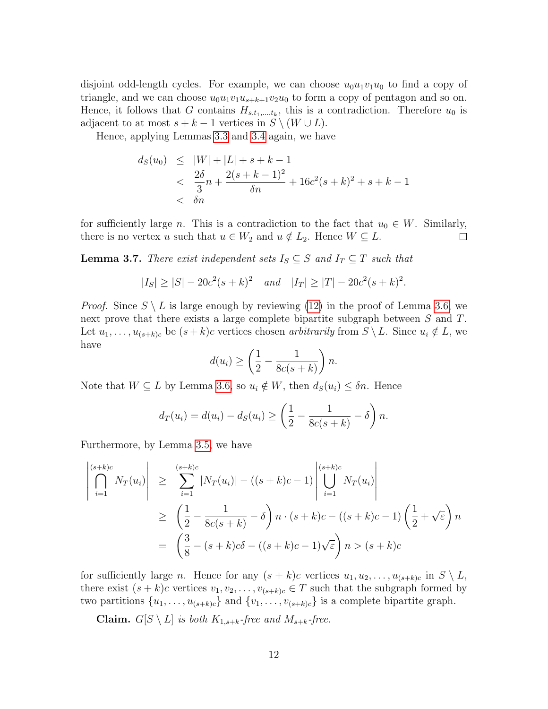disjoint odd-length cycles. For example, we can choose  $u_0u_1v_1u_0$  to find a copy of triangle, and we can choose  $u_0u_1v_1u_{s+k+1}v_2u_0$  to form a copy of pentagon and so on. Hence, it follows that G contains  $H_{s,t_1,\dots,t_k}$ , this is a contradiction. Therefore  $u_0$  is adjacent to at most  $s + k - 1$  vertices in  $S \setminus (W \cup L)$ .

Hence, applying Lemmas [3.3](#page-8-0) and [3.4](#page-9-0) again, we have

$$
d_S(u_0) \le |W| + |L| + s + k - 1
$$
  

$$
< \frac{2\delta}{3}n + \frac{2(s + k - 1)^2}{\delta n} + 16c^2(s + k)^2 + s + k - 1
$$
  

$$
< \delta n
$$

for sufficiently large *n*. This is a contradiction to the fact that  $u_0 \in W$ . Similarly, there is no vertex u such that  $u \in W_2$  and  $u \notin L_2$ . Hence  $W \subseteq L$ .  $\Box$ 

<span id="page-11-0"></span>**Lemma 3.7.** There exist independent sets  $I_S \subseteq S$  and  $I_T \subseteq T$  such that

$$
|I_S| \ge |S| - 20c^2(s+k)^2
$$
 and  $|I_T| \ge |T| - 20c^2(s+k)^2$ .

*Proof.* Since  $S \setminus L$  is large enough by reviewing [\(12\)](#page-10-0) in the proof of Lemma [3.6,](#page-9-1) we next prove that there exists a large complete bipartite subgraph between S and T. Let  $u_1, \ldots, u_{(s+k)c}$  be  $(s+k)c$  vertices chosen arbitrarily from  $S \setminus L$ . Since  $u_i \notin L$ , we have

$$
d(u_i) \ge \left(\frac{1}{2} - \frac{1}{8c(s+k)}\right)n.
$$

Note that  $W \subseteq L$  by Lemma [3.6,](#page-9-1) so  $u_i \notin W$ , then  $d_S(u_i) \leq \delta n$ . Hence

$$
d_T(u_i) = d(u_i) - d_S(u_i) \ge \left(\frac{1}{2} - \frac{1}{8c(s+k)} - \delta\right)n.
$$

Furthermore, by Lemma [3.5,](#page-9-4) we have

$$
\begin{aligned}\n\begin{vmatrix}\ns+k)c \\
\bigcap_{i=1}^{(s+k)c} N_T(u_i)\n\end{vmatrix} &\geq \sum_{i=1}^{(s+k)c} |N_T(u_i)| - ((s+k)c - 1) \left| \bigcup_{i=1}^{(s+k)c} N_T(u_i) \right| \\
&\geq \left(\frac{1}{2} - \frac{1}{8c(s+k)} - \delta\right) n \cdot (s+k)c - ((s+k)c - 1) \left(\frac{1}{2} + \sqrt{\varepsilon}\right) n \\
&= \left(\frac{3}{8} - (s+k)c\delta - ((s+k)c - 1)\sqrt{\varepsilon}\right) n > (s+k)c\n\end{vmatrix}\n\end{aligned}
$$

for sufficiently large *n*. Hence for any  $(s + k)c$  vertices  $u_1, u_2, \ldots, u_{(s+k)c}$  in  $S \setminus L$ , there exist  $(s + k)c$  vertices  $v_1, v_2, \ldots, v_{(s+k)c} \in T$  such that the subgraph formed by two partitions  $\{u_1, \ldots, u_{(s+k)c}\}\$  and  $\{v_1, \ldots, v_{(s+k)c}\}\$  is a complete bipartite graph.

**Claim.**  $G[S \setminus L]$  is both  $K_{1,s+k}$ -free and  $M_{s+k}$ -free.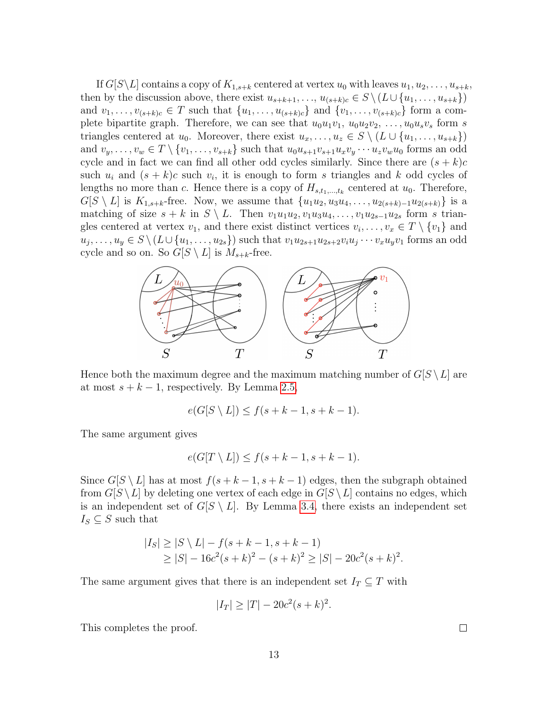If  $G[S\backslash L]$  contains a copy of  $K_{1,s+k}$  centered at vertex  $u_0$  with leaves  $u_1, u_2, \ldots, u_{s+k}$ , then by the discussion above, there exist  $u_{s+k+1}, \ldots, u_{(s+k)c} \in S \setminus (L \cup \{u_1, \ldots, u_{s+k}\})$ and  $v_1, \ldots, v_{(s+k)c} \in T$  such that  $\{u_1, \ldots, u_{(s+k)c}\}\$ and  $\{v_1, \ldots, v_{(s+k)c}\}\$ form a complete bipartite graph. Therefore, we can see that  $u_0u_1v_1, u_0u_2v_2, \ldots, u_0u_sv_s$  form s triangles centered at  $u_0$ . Moreover, there exist  $u_x, \ldots, u_z \in S \setminus (L \cup \{u_1, \ldots, u_{s+k}\})$ and  $v_y, \ldots, v_w \in T \setminus \{v_1, \ldots, v_{s+k}\}\$  such that  $u_0u_{s+1}v_{s+1}u_xv_y\cdots u_zv_wu_0$  forms an odd cycle and in fact we can find all other odd cycles similarly. Since there are  $(s + k)c$ such  $u_i$  and  $(s + k)c$  such  $v_i$ , it is enough to form s triangles and k odd cycles of lengths no more than c. Hence there is a copy of  $H_{s,t_1,\dots,t_k}$  centered at  $u_0$ . Therefore,  $G[S \setminus L]$  is  $K_{1,s+k}$ -free. Now, we assume that  $\{u_1u_2, u_3u_4, \ldots, u_{2(s+k)-1}u_{2(s+k)}\}$  is a matching of size  $s + k$  in  $S \setminus L$ . Then  $v_1u_1u_2, v_1u_3u_4, \ldots, v_1u_{2s-1}u_{2s}$  form s triangles centered at vertex  $v_1$ , and there exist distinct vertices  $v_i, \ldots, v_x \in T \setminus \{v_1\}$  and  $u_j, \ldots, u_y \in S \setminus (L \cup \{u_1, \ldots, u_{2s}\})$  such that  $v_1u_{2s+1}u_{2s+2}v_iu_j \cdots v_xu_yv_1$  forms an odd cycle and so on. So  $G[S \setminus L]$  is  $M_{s+k}$ -free.



Hence both the maximum degree and the maximum matching number of  $G[S \setminus L]$  are at most  $s + k - 1$ , respectively. By Lemma [2.5,](#page-5-4)

$$
e(G[S \setminus L]) \le f(s + k - 1, s + k - 1).
$$

The same argument gives

$$
e(G[T \setminus L]) \le f(s + k - 1, s + k - 1).
$$

Since  $G[S \setminus L]$  has at most  $f(s + k - 1, s + k - 1)$  edges, then the subgraph obtained from  $G[S \setminus L]$  by deleting one vertex of each edge in  $G[S \setminus L]$  contains no edges, which is an independent set of  $G[S \setminus L]$ . By Lemma [3.4,](#page-9-0) there exists an independent set  $I_S \subseteq S$  such that

$$
|I_S| \ge |S \setminus L| - f(s + k - 1, s + k - 1)
$$
  
\n
$$
\ge |S| - 16c^2(s + k)^2 - (s + k)^2 \ge |S| - 20c^2(s + k)^2.
$$

The same argument gives that there is an independent set  $I_T \subseteq T$  with

$$
|I_T| \ge |T| - 20c^2(s+k)^2.
$$

This completes the proof.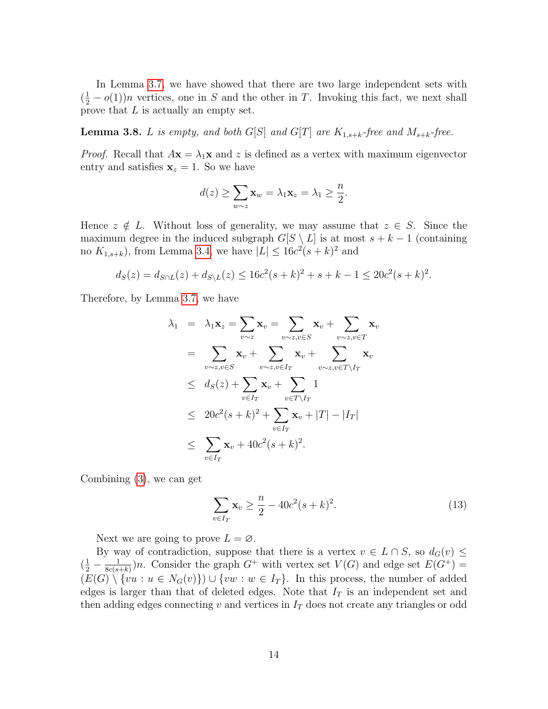In Lemma [3.7,](#page-11-0) we have showed that there are two large independent sets with  $(\frac{1}{2} - o(1))n$  vertices, one in S and the other in T. Invoking this fact, we next shall prove that L is actually an empty set.

<span id="page-13-0"></span>**Lemma 3.8.** L is empty, and both G[S] and G[T] are  $K_{1,s+k}$ -free and  $M_{s+k}$ -free.

*Proof.* Recall that  $A\mathbf{x} = \lambda_1\mathbf{x}$  and z is defined as a vertex with maximum eigenvector entry and satisfies  $x_z = 1$ . So we have

$$
d(z) \ge \sum_{w \sim z} \mathbf{x}_w = \lambda_1 \mathbf{x}_z = \lambda_1 \ge \frac{n}{2}.
$$

Hence  $z \notin L$ . Without loss of generality, we may assume that  $z \in S$ . Since the maximum degree in the induced subgraph  $G[S \setminus L]$  is at most  $s + k - 1$  (containing no  $K_{1,s+k}$ ), from Lemma [3.4,](#page-9-0) we have  $|L| \leq 16c^2(s+k)^2$  and

$$
d_S(z) = d_{S \cap L}(z) + d_{S \setminus L}(z) \le 16c^2(s+k)^2 + s+k-1 \le 20c^2(s+k)^2.
$$

Therefore, by Lemma [3.7,](#page-11-0) we have

$$
\lambda_1 = \lambda_1 \mathbf{x}_z = \sum_{v \sim z} \mathbf{x}_v = \sum_{v \sim z, v \in S} \mathbf{x}_v + \sum_{v \sim z, v \in T} \mathbf{x}_v
$$
  
\n
$$
= \sum_{v \sim z, v \in S} \mathbf{x}_v + \sum_{v \sim z, v \in I_T} \mathbf{x}_v + \sum_{v \sim z, v \in T \setminus I_T} \mathbf{x}_v
$$
  
\n
$$
\leq d_S(z) + \sum_{v \in I_T} \mathbf{x}_v + \sum_{v \in T \setminus I_T} 1
$$
  
\n
$$
\leq 20c^2(s + k)^2 + \sum_{v \in I_T} \mathbf{x}_v + |T| - |I_T|
$$
  
\n
$$
\leq \sum_{v \in I_T} \mathbf{x}_v + 40c^2(s + k)^2.
$$

Combining [\(3\)](#page-7-2), we can get

<span id="page-13-1"></span>
$$
\sum_{v \in I_T} \mathbf{x}_v \ge \frac{n}{2} - 40c^2(s+k)^2.
$$
 (13)

Next we are going to prove  $L = \emptyset$ .

By way of contradiction, suppose that there is a vertex  $v \in L \cap S$ , so  $d_G(v) \leq$  $(\frac{1}{2} - \frac{1}{8c(s - 1)}$  $\frac{1}{8c(s+k)}$ )n. Consider the graph  $G^+$  with vertex set  $V(G)$  and edge set  $E(G^+)$  =  $(E(G) \setminus \{vu : u \in N_G(v)\}) \cup \{vw : w \in I_T\}.$  In this process, the number of added edges is larger than that of deleted edges. Note that  $I_T$  is an independent set and then adding edges connecting v and vertices in  $I<sub>T</sub>$  does not create any triangles or odd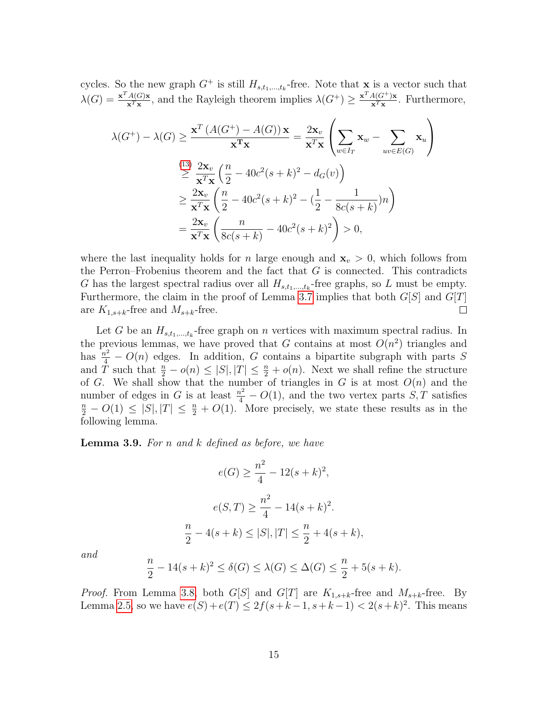cycles. So the new graph  $G^+$  is still  $H_{s,t_1,\dots,t_k}$ -free. Note that **x** is a vector such that  $\lambda(G) = \frac{\mathbf{x}^T A(G) \mathbf{x}}{\mathbf{x}^T \mathbf{x}}$  $\frac{A(G)x}{x^{T}x}$ , and the Rayleigh theorem implies  $\lambda(G^{+}) \geq \frac{x^{T} A(G^{+})x}{x^{T}x}$  $\frac{A(G^{+})\mathbf{x}}{\mathbf{x}^{T}\mathbf{x}}$ . Furthermore,

$$
\lambda(G^{+}) - \lambda(G) \ge \frac{\mathbf{x}^{T} (A(G^{+}) - A(G)) \mathbf{x}}{\mathbf{x}^{T} \mathbf{x}} = \frac{2\mathbf{x}_{v}}{\mathbf{x}^{T} \mathbf{x}} \left( \sum_{w \in I_{T}} \mathbf{x}_{w} - \sum_{uv \in E(G)} \mathbf{x}_{u} \right)
$$
  

$$
\ge \frac{(13)}{\mathbf{x}^{T} \mathbf{x}} \left( \frac{n}{2} - 40c^{2}(s+k)^{2} - d_{G}(v) \right)
$$
  

$$
\ge \frac{2\mathbf{x}_{v}}{\mathbf{x}^{T} \mathbf{x}} \left( \frac{n}{2} - 40c^{2}(s+k)^{2} - (\frac{1}{2} - \frac{1}{8c(s+k)})n \right)
$$
  

$$
= \frac{2\mathbf{x}_{v}}{\mathbf{x}^{T} \mathbf{x}} \left( \frac{n}{8c(s+k)} - 40c^{2}(s+k)^{2} \right) > 0,
$$

where the last inequality holds for n large enough and  $x_v > 0$ , which follows from the Perron–Frobenius theorem and the fact that  $G$  is connected. This contradicts G has the largest spectral radius over all  $H_{s,t_1,\dots,t_k}$ -free graphs, so L must be empty. Furthermore, the claim in the proof of Lemma [3.7](#page-11-0) implies that both  $G[S]$  and  $G[T]$ are  $K_{1,s+k}$ -free and  $M_{s+k}$ -free.  $\Box$ 

Let G be an  $H_{s,t_1,\dots,t_k}$ -free graph on n vertices with maximum spectral radius. In the previous lemmas, we have proved that G contains at most  $O(n^2)$  triangles and has  $\frac{n^2}{4} - O(n)$  edges. In addition, G contains a bipartite subgraph with parts S and  $\hat{T}$  such that  $\frac{n}{2} - o(n) \leq |S|, |T| \leq \frac{n}{2} + o(n)$ . Next we shall refine the structure of G. We shall show that the number of triangles in G is at most  $O(n)$  and the number of edges in G is at least  $\frac{n^2}{4} - O(1)$ , and the two vertex parts  $S, T$  satisfies  $\frac{n}{2} - O(1) \leq |S|, |T| \leq \frac{n}{2} + O(1)$ . More precisely, we state these results as in the following lemma.

<span id="page-14-0"></span>**Lemma 3.9.** For  $n$  and  $k$  defined as before, we have

$$
e(G) \ge \frac{n^2}{4} - 12(s+k)^2,
$$
  

$$
e(S,T) \ge \frac{n^2}{4} - 14(s+k)^2.
$$
  

$$
\frac{n}{2} - 4(s+k) \le |S|, |T| \le \frac{n}{2} + 4(s+k),
$$

and

$$
\frac{n}{2} - 14(s+k)^2 \le \delta(G) \le \lambda(G) \le \Delta(G) \le \frac{n}{2} + 5(s+k).
$$

*Proof.* From Lemma [3.8,](#page-13-0) both  $G[S]$  and  $G[T]$  are  $K_{1,s+k}$ -free and  $M_{s+k}$ -free. By Lemma [2.5,](#page-5-4) so we have  $e(S) + e(T) \le 2f(s+k-1, s+k-1) < 2(s+k)^2$ . This means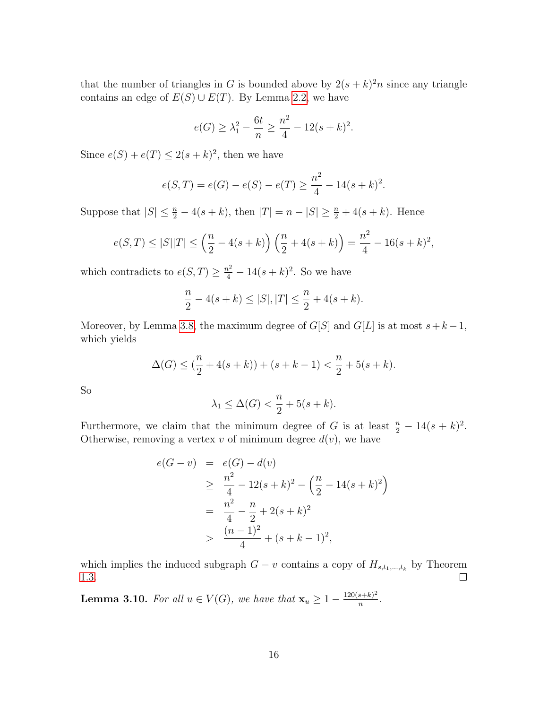that the number of triangles in G is bounded above by  $2(s+k)^2n$  since any triangle contains an edge of  $E(S) \cup E(T)$ . By Lemma [2.2,](#page-5-0) we have

$$
e(G) \ge \lambda_1^2 - \frac{6t}{n} \ge \frac{n^2}{4} - 12(s+k)^2.
$$

Since  $e(S) + e(T) \leq 2(s+k)^2$ , then we have

$$
e(S,T) = e(G) - e(S) - e(T) \ge \frac{n^2}{4} - 14(s+k)^2.
$$

Suppose that  $|S| \leq \frac{n}{2} - 4(s + k)$ , then  $|T| = n - |S| \geq \frac{n}{2} + 4(s + k)$ . Hence

$$
e(S,T) \le |S||T| \le \left(\frac{n}{2} - 4(s+k)\right) \left(\frac{n}{2} + 4(s+k)\right) = \frac{n^2}{4} - 16(s+k)^2,
$$

which contradicts to  $e(S,T) \geq \frac{n^2}{4} - 14(s+k)^2$ . So we have

$$
\frac{n}{2} - 4(s+k) \le |S|, |T| \le \frac{n}{2} + 4(s+k).
$$

Moreover, by Lemma [3.8,](#page-13-0) the maximum degree of  $G[S]$  and  $G[L]$  is at most  $s+k-1$ , which yields

$$
\Delta(G) \le \left(\frac{n}{2} + 4(s+k)\right) + (s+k-1) < \frac{n}{2} + 5(s+k).
$$

So

$$
\lambda_1 \leq \Delta(G) < \frac{n}{2} + 5(s+k).
$$

Furthermore, we claim that the minimum degree of G is at least  $\frac{n}{2} - 14(s+k)^2$ . Otherwise, removing a vertex  $v$  of minimum degree  $d(v)$ , we have

$$
e(G - v) = e(G) - d(v)
$$
  
\n
$$
\geq \frac{n^2}{4} - 12(s + k)^2 - \left(\frac{n}{2} - 14(s + k)^2\right)
$$
  
\n
$$
= \frac{n^2}{4} - \frac{n}{2} + 2(s + k)^2
$$
  
\n
$$
> \frac{(n - 1)^2}{4} + (s + k - 1)^2,
$$

which implies the induced subgraph  $G - v$  contains a copy of  $H_{s,t_1,\dots,t_k}$  by Theorem [1.3.](#page-3-0)  $\Box$ 

<span id="page-15-0"></span>**Lemma 3.10.** For all  $u \in V(G)$ , we have that  $\mathbf{x}_u \geq 1 - \frac{120(s+k)^2}{n}$  $\frac{s+\kappa)^2}{n}$ .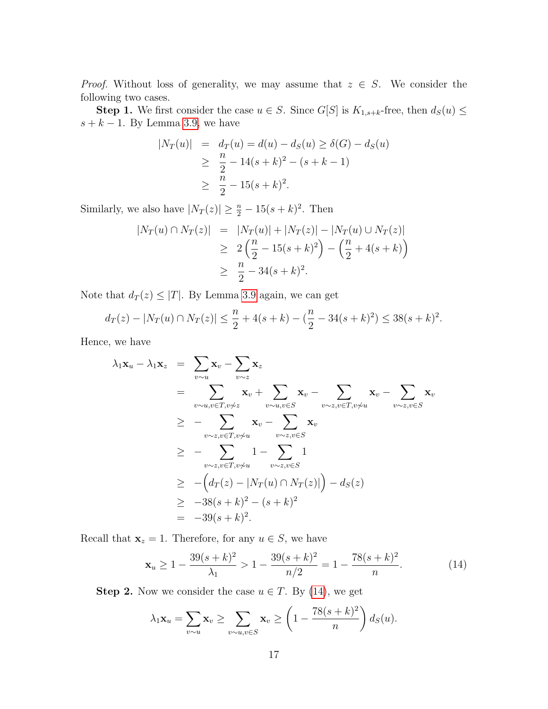*Proof.* Without loss of generality, we may assume that  $z \in S$ . We consider the following two cases.

**Step 1.** We first consider the case  $u \in S$ . Since  $G[S]$  is  $K_{1,s+k}$ -free, then  $d_S(u) \leq$  $s + k - 1$ . By Lemma [3.9,](#page-14-0) we have

$$
|N_T(u)| = d_T(u) = d(u) - d_S(u) \ge \delta(G) - d_S(u)
$$
  
\n
$$
\ge \frac{n}{2} - 14(s+k)^2 - (s+k-1)
$$
  
\n
$$
\ge \frac{n}{2} - 15(s+k)^2.
$$

Similarly, we also have  $|N_T(z)| \geq \frac{n}{2} - 15(s+k)^2$ . Then

$$
|N_T(u) \cap N_T(z)| = |N_T(u)| + |N_T(z)| - |N_T(u) \cup N_T(z)|
$$
  
\n
$$
\geq 2\left(\frac{n}{2} - 15(s+k)^2\right) - \left(\frac{n}{2} + 4(s+k)\right)
$$
  
\n
$$
\geq \frac{n}{2} - 34(s+k)^2.
$$

Note that  $d_T(z) \leq |T|$ . By Lemma [3.9](#page-14-0) again, we can get

$$
d_T(z) - |N_T(u) \cap N_T(z)| \le \frac{n}{2} + 4(s+k) - (\frac{n}{2} - 34(s+k)^2) \le 38(s+k)^2.
$$

Hence, we have

$$
\lambda_1 \mathbf{x}_u - \lambda_1 \mathbf{x}_z = \sum_{v \sim u} \mathbf{x}_v - \sum_{v \sim z} \mathbf{x}_z
$$
\n
$$
= \sum_{v \sim u, v \in T, v \neq z} \mathbf{x}_v + \sum_{v \sim u, v \in S} \mathbf{x}_v - \sum_{v \sim z, v \in T, v \neq u} \mathbf{x}_v - \sum_{v \sim z, v \in S} \mathbf{x}_v
$$
\n
$$
\geq - \sum_{v \sim z, v \in T, v \neq u} \mathbf{x}_v - \sum_{v \sim z, v \in S} \mathbf{x}_v
$$
\n
$$
\geq - \sum_{v \sim z, v \in T, v \neq u} 1 - \sum_{v \sim z, v \in S} 1
$$
\n
$$
\geq - \left( d_T(z) - |N_T(u) \cap N_T(z)| \right) - d_S(z)
$$
\n
$$
\geq -38(s + k)^2 - (s + k)^2
$$
\n
$$
= -39(s + k)^2.
$$

Recall that  $\mathbf{x}_z = 1$ . Therefore, for any  $u \in S$ , we have

<span id="page-16-0"></span>
$$
\mathbf{x}_u \ge 1 - \frac{39(s+k)^2}{\lambda_1} > 1 - \frac{39(s+k)^2}{n/2} = 1 - \frac{78(s+k)^2}{n}.
$$
 (14)

**Step 2.** Now we consider the case  $u \in T$ . By [\(14\)](#page-16-0), we get

$$
\lambda_1 \mathbf{x}_u = \sum_{v \sim u} \mathbf{x}_v \ge \sum_{v \sim u, v \in S} \mathbf{x}_v \ge \left(1 - \frac{78(s+k)^2}{n}\right) d_S(u).
$$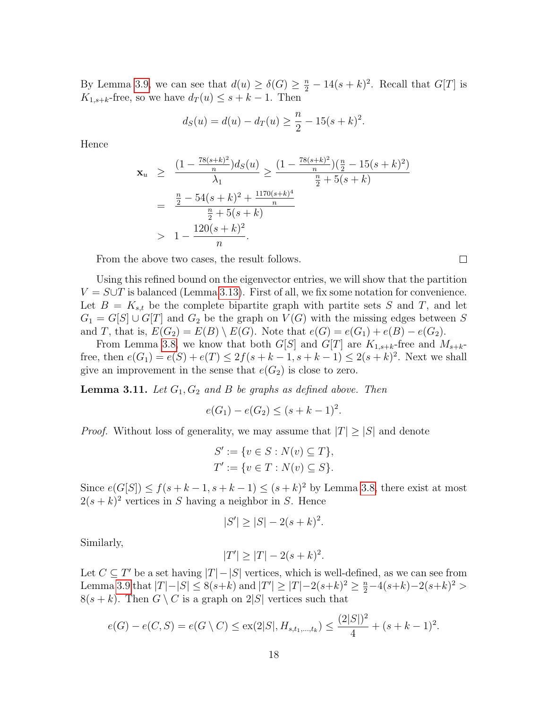By Lemma [3.9,](#page-14-0) we can see that  $d(u) \geq \delta(G) \geq \frac{n}{2} - 14(s+k)^2$ . Recall that  $G[T]$  is  $K_{1,s+k}$ -free, so we have  $d_T(u) \leq s+k-1$ . Then

$$
d_S(u) = d(u) - d_T(u) \ge \frac{n}{2} - 15(s+k)^2.
$$

Hence

$$
\mathbf{x}_{u} \geq \frac{\left(1 - \frac{78(s+k)^{2}}{n}\right) d_{S}(u)}{\lambda_{1}} \geq \frac{\left(1 - \frac{78(s+k)^{2}}{n}\right)\left(\frac{n}{2} - 15(s+k)^{2}\right)}{\frac{n}{2} + 5(s+k)}
$$

$$
= \frac{\frac{n}{2} - 54(s+k)^{2} + \frac{1170(s+k)^{4}}{n}}{\frac{n}{2} + 5(s+k)}
$$

$$
> 1 - \frac{120(s+k)^{2}}{n}.
$$

From the above two cases, the result follows.

Using this refined bound on the eigenvector entries, we will show that the partition  $V = S \cup T$  is balanced (Lemma [3.13\)](#page-19-0). First of all, we fix some notation for convenience. Let  $B = K_{s,t}$  be the complete bipartite graph with partite sets S and T, and let  $G_1 = G[S] \cup G[T]$  and  $G_2$  be the graph on  $V(G)$  with the missing edges between S and T, that is,  $E(G_2) = E(B) \setminus E(G)$ . Note that  $e(G) = e(G_1) + e(B) - e(G_2)$ .

From Lemma [3.8,](#page-13-0) we know that both  $G[S]$  and  $G[T]$  are  $K_{1,s+k}$ -free and  $M_{s+k}$ free, then  $e(G_1) = e(S) + e(T) \leq 2f(s + k - 1, s + k - 1) \leq 2(s + k)^2$ . Next we shall give an improvement in the sense that  $e(G_2)$  is close to zero.

<span id="page-17-0"></span>**Lemma 3.11.** Let  $G_1, G_2$  and B be graphs as defined above. Then

$$
e(G_1) - e(G_2) \le (s + k - 1)^2
$$

.

*Proof.* Without loss of generality, we may assume that  $|T| \geq |S|$  and denote

$$
S' := \{ v \in S : N(v) \subseteq T \},
$$
  

$$
T' := \{ v \in T : N(v) \subseteq S \}.
$$

Since  $e(G[S]) \le f(s+k-1, s+k-1) \le (s+k)^2$  by Lemma [3.8,](#page-13-0) there exist at most  $2(s+k)^2$  vertices in S having a neighbor in S. Hence

$$
|S'| \ge |S| - 2(s+k)^2.
$$

Similarly,

$$
|T'| \ge |T| - 2(s+k)^2.
$$

Let  $C \subseteq T'$  be a set having  $|T| - |S|$  vertices, which is well-defined, as we can see from Lemma [3.9](#page-14-0) that  $|T|-|S| \le 8(s+k)$  and  $|T'| \ge |T|-2(s+k)^2 \ge \frac{n}{2}-4(s+k)-2(s+k)^2 >$  $8(s + k)$ . Then  $G \setminus C$  is a graph on  $2|S|$  vertices such that

$$
e(G) - e(C, S) = e(G \setminus C) \le ex(2|S|, H_{s,t_1,\dots,t_k}) \le \frac{(2|S|)^2}{4} + (s + k - 1)^2.
$$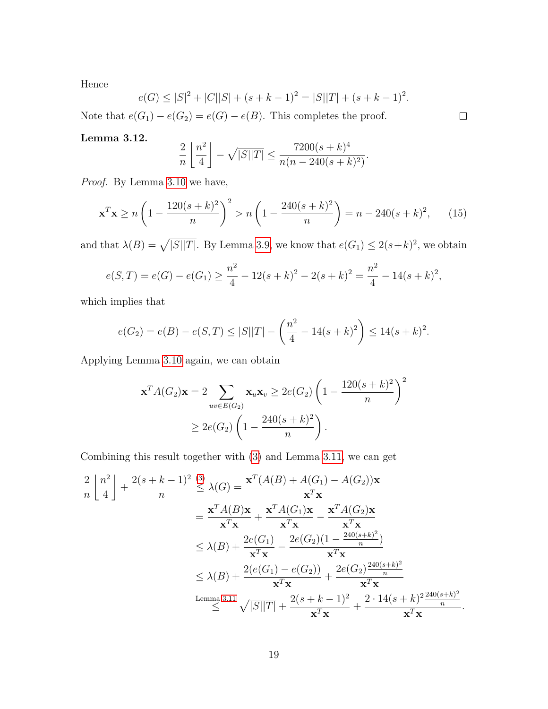Hence

$$
e(G) \le |S|^2 + |C||S| + (s + k - 1)^2 = |S||T| + (s + k - 1)^2.
$$

Note that  $e(G_1) - e(G_2) = e(G) - e(B)$ . This completes the proof.

#### <span id="page-18-0"></span>Lemma 3.12.

$$
\frac{2}{n} \left\lfloor \frac{n^2}{4} \right\rfloor - \sqrt{|S||T|} \le \frac{7200(s+k)^4}{n(n-240(s+k)^2)}.
$$

Proof. By Lemma [3.10](#page-15-0) we have,

<span id="page-18-1"></span>
$$
\mathbf{x}^T \mathbf{x} \ge n \left( 1 - \frac{120(s+k)^2}{n} \right)^2 > n \left( 1 - \frac{240(s+k)^2}{n} \right) = n - 240(s+k)^2, \tag{15}
$$

and that  $\lambda(B) = \sqrt{|S||T|}$ . By Lemma [3.9,](#page-14-0) we know that  $e(G_1) \leq 2(s+k)^2$ , we obtain

$$
e(S,T) = e(G) - e(G_1) \ge \frac{n^2}{4} - 12(s+k)^2 - 2(s+k)^2 = \frac{n^2}{4} - 14(s+k)^2,
$$

which implies that

$$
e(G_2) = e(B) - e(S,T) \le |S||T| - \left(\frac{n^2}{4} - 14(s+k)^2\right) \le 14(s+k)^2.
$$

Applying Lemma [3.10](#page-15-0) again, we can obtain

$$
\mathbf{x}^{T} A(G_2) \mathbf{x} = 2 \sum_{uv \in E(G_2)} \mathbf{x}_u \mathbf{x}_v \ge 2e(G_2) \left( 1 - \frac{120(s+k)^2}{n} \right)^2
$$
  
 
$$
\ge 2e(G_2) \left( 1 - \frac{240(s+k)^2}{n} \right).
$$

Combining this result together with [\(3\)](#page-7-2) and Lemma [3.11,](#page-17-0) we can get

$$
\frac{2}{n} \left[ \frac{n^2}{4} \right] + \frac{2(s+k-1)^2}{n} \leq \lambda(G) = \frac{\mathbf{x}^T (A(B) + A(G_1) - A(G_2)) \mathbf{x}}{\mathbf{x}^T \mathbf{x}}
$$
  
\n
$$
= \frac{\mathbf{x}^T A(B) \mathbf{x}}{\mathbf{x}^T \mathbf{x}} + \frac{\mathbf{x}^T A(G_1) \mathbf{x}}{\mathbf{x}^T \mathbf{x}} - \frac{\mathbf{x}^T A(G_2) \mathbf{x}}{\mathbf{x}^T \mathbf{x}}
$$
  
\n
$$
\leq \lambda(B) + \frac{2e(G_1)}{\mathbf{x}^T \mathbf{x}} - \frac{2e(G_2)(1 - \frac{240(s+k)^2}{n})}{\mathbf{x}^T \mathbf{x}}
$$
  
\n
$$
\leq \lambda(B) + \frac{2(e(G_1) - e(G_2))}{\mathbf{x}^T \mathbf{x}} + \frac{2e(G_2) \frac{240(s+k)^2}{n}}{\mathbf{x}^T \mathbf{x}}
$$
  
\nLemma 3.11  $\sqrt{|S||T|} + \frac{2(s+k-1)^2}{\mathbf{x}^T \mathbf{x}} + \frac{2 \cdot 14(s+k)^2 \frac{240(s+k)^2}{n}}{\mathbf{x}^T \mathbf{x}}.$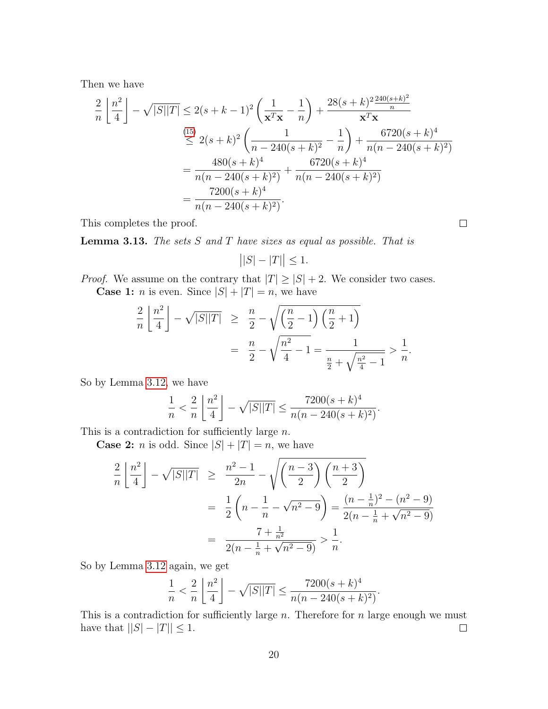Then we have

$$
\frac{2}{n} \left[ \frac{n^2}{4} \right] - \sqrt{|S||T|} \le 2(s+k-1)^2 \left( \frac{1}{\mathbf{x}^T \mathbf{x}} - \frac{1}{n} \right) + \frac{28(s+k)^2 \frac{240(s+k)^2}{n}}{\mathbf{x}^T \mathbf{x}}
$$
\n
$$
\le 2(s+k)^2 \left( \frac{1}{n-240(s+k)^2} - \frac{1}{n} \right) + \frac{6720(s+k)^4}{n(n-240(s+k)^2)}
$$
\n
$$
= \frac{480(s+k)^4}{n(n-240(s+k)^2)} + \frac{6720(s+k)^4}{n(n-240(s+k)^2)}
$$
\n
$$
= \frac{7200(s+k)^4}{n(n-240(s+k)^2)}
$$

This completes the proof.

<span id="page-19-0"></span>**Lemma 3.13.** The sets  $S$  and  $T$  have sizes as equal as possible. That is

$$
\left| |S| - |T| \right| \le 1.
$$

*Proof.* We assume on the contrary that  $|T| \geq |S| + 2$ . We consider two cases.

**Case 1:** *n* is even. Since  $|S| + |T| = n$ , we have

$$
\frac{2}{n} \left\lfloor \frac{n^2}{4} \right\rfloor - \sqrt{|S||T|} \ge \frac{n}{2} - \sqrt{\left(\frac{n}{2} - 1\right) \left(\frac{n}{2} + 1\right)}
$$
  
= 
$$
\frac{n}{2} - \sqrt{\frac{n^2}{4} - 1} = \frac{1}{\frac{n}{2} + \sqrt{\frac{n^2}{4} - 1}} > \frac{1}{n}.
$$

So by Lemma [3.12,](#page-18-0) we have

$$
\frac{1}{n} < \frac{2}{n} \left\lfloor \frac{n^2}{4} \right\rfloor - \sqrt{|S||T|} \le \frac{7200(s+k)^4}{n(n-240(s+k)^2)}.
$$

This is a contradiction for sufficiently large  $n$ .

**Case 2:** *n* is odd. Since  $|S| + |T| = n$ , we have

$$
\frac{2}{n} \left[ \frac{n^2}{4} \right] - \sqrt{|S||T|} \ge \frac{n^2 - 1}{2n} - \sqrt{\left( \frac{n-3}{2} \right) \left( \frac{n+3}{2} \right)}
$$
  
= 
$$
\frac{1}{2} \left( n - \frac{1}{n} - \sqrt{n^2 - 9} \right) = \frac{(n - \frac{1}{n})^2 - (n^2 - 9)}{2(n - \frac{1}{n} + \sqrt{n^2 - 9})}
$$
  
= 
$$
\frac{7 + \frac{1}{n^2}}{2(n - \frac{1}{n} + \sqrt{n^2 - 9})} > \frac{1}{n}.
$$

So by Lemma [3.12](#page-18-0) again, we get

$$
\frac{1}{n} < \frac{2}{n} \left\lfloor \frac{n^2}{4} \right\rfloor - \sqrt{|S||T|} \le \frac{7200(s+k)^4}{n(n-240(s+k)^2)}
$$

.

This is a contradiction for sufficiently large  $n$ . Therefore for  $n$  large enough we must have that  $||S| - |T|| \leq 1$ .  $\Box$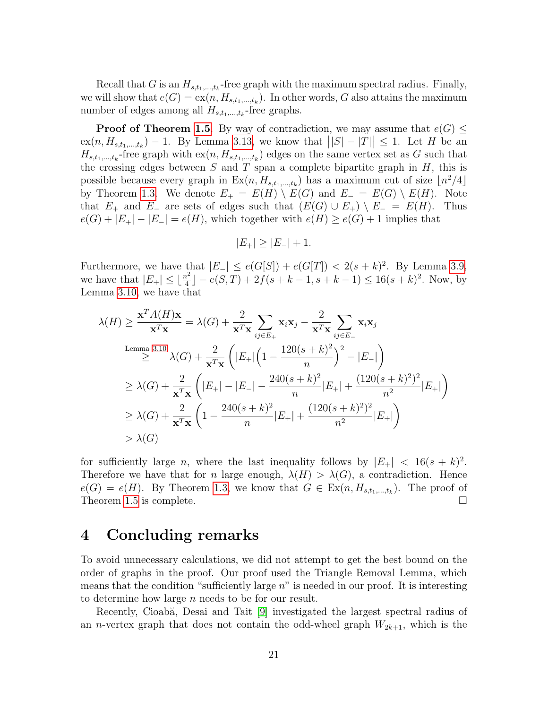Recall that G is an  $H_{s,t_1,\dots,t_k}$ -free graph with the maximum spectral radius. Finally, we will show that  $e(G) = \text{ex}(n, H_{s,t_1,\dots,t_k})$ . In other words, G also attains the maximum number of edges among all  $H_{s,t_1,\dots,t_k}$ -free graphs.

**Proof of Theorem [1.5](#page-4-1).** By way of contradiction, we may assume that  $e(G) \leq$  $\exp(n, H_{s,t_1,\dots,t_k}) - 1$ . By Lemma [3.13,](#page-19-0) we know that  $||S| - |T|| \leq 1$ . Let H be an  $H_{s,t_1,\dots,t_k}$ -free graph with  $ex(n, H_{s,t_1,\dots,t_k})$  edges on the same vertex set as G such that the crossing edges between S and T span a complete bipartite graph in  $H$ , this is possible because every graph in  $Ex(n, H_{s,t_1,\dots,t_k})$  has a maximum cut of size  $\lfloor n^2/4 \rfloor$ by Theorem [1.3.](#page-3-0) We denote  $E_+ = E(H) \setminus E(G)$  and  $E_- = E(G) \setminus E(H)$ . Note that  $E_+$  and  $E_-$  are sets of edges such that  $(E(G) \cup E_+) \setminus E_- = E(H)$ . Thus  $e(G) + |E_+| - |E_-| = e(H)$ , which together with  $e(H) \geq e(G) + 1$  implies that

$$
|E_{+}| \ge |E_{-}| + 1.
$$

Furthermore, we have that  $|E_{-}| \leq e(G[S]) + e(G[T]) < 2(s+k)^2$ . By Lemma [3.9,](#page-14-0) we have that  $|E_+| \leq \lfloor \frac{n^2}{4} \rfloor$  $\frac{k^2}{4}$ ] –  $e(S,T) + 2f(s+k-1, s+k-1) \le 16(s+k)^2$ . Now, by Lemma [3.10,](#page-15-0) we have that

$$
\lambda(H) \ge \frac{\mathbf{x}^{T} A(H) \mathbf{x}}{\mathbf{x}^{T} \mathbf{x}} = \lambda(G) + \frac{2}{\mathbf{x}^{T} \mathbf{x}} \sum_{ij \in E_{+}} \mathbf{x}_{i} \mathbf{x}_{j} - \frac{2}{\mathbf{x}^{T} \mathbf{x}} \sum_{ij \in E_{-}} \mathbf{x}_{i} \mathbf{x}_{j}
$$
\nLemma 3.10\n
$$
\ge \lambda(G) + \frac{2}{\mathbf{x}^{T} \mathbf{x}} \left( |E_{+}| \left( 1 - \frac{120(s + k)^{2}}{n} \right)^{2} - |E_{-}| \right)
$$
\n
$$
\ge \lambda(G) + \frac{2}{\mathbf{x}^{T} \mathbf{x}} \left( |E_{+}| - |E_{-}| - \frac{240(s + k)^{2}}{n} |E_{+}| + \frac{(120(s + k)^{2})^{2}}{n^{2}} |E_{+}| \right)
$$
\n
$$
\ge \lambda(G) + \frac{2}{\mathbf{x}^{T} \mathbf{x}} \left( 1 - \frac{240(s + k)^{2}}{n} |E_{+}| + \frac{(120(s + k)^{2})^{2}}{n^{2}} |E_{+}| \right)
$$
\n
$$
> \lambda(G)
$$

for sufficiently large *n*, where the last inequality follows by  $|E_+|$  < 16 $(s + k)^2$ . Therefore we have that for n large enough,  $\lambda(H) > \lambda(G)$ , a contradiction. Hence  $e(G) = e(H)$ . By Theorem [1.3,](#page-3-0) we know that  $G \in \text{Ex}(n, H_{s,t_1,\dots,t_k})$ . The proof of Theorem [1.5](#page-4-1) is complete.  $\Box$ 

### 4 Concluding remarks

To avoid unnecessary calculations, we did not attempt to get the best bound on the order of graphs in the proof. Our proof used the Triangle Removal Lemma, which means that the condition "sufficiently large  $n$ " is needed in our proof. It is interesting to determine how large n needs to be for our result.

Recently, Cioabă, Desai and Tait [\[9\]](#page-22-9) investigated the largest spectral radius of an *n*-vertex graph that does not contain the odd-wheel graph  $W_{2k+1}$ , which is the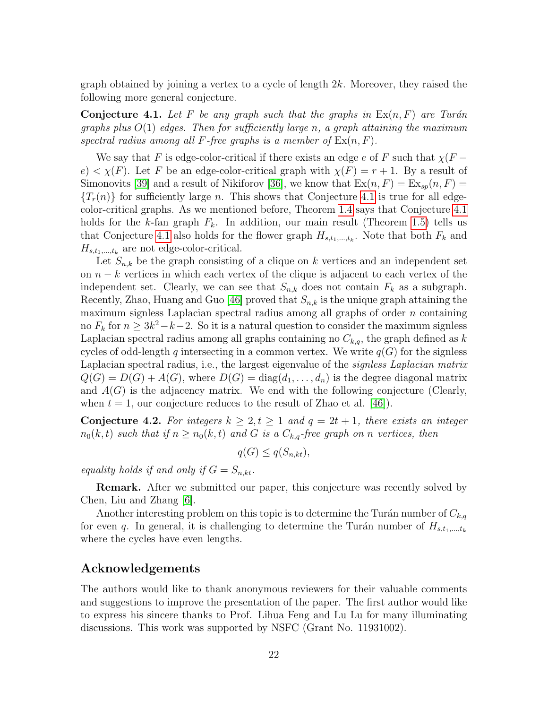graph obtained by joining a vertex to a cycle of length 2k. Moreover, they raised the following more general conjecture.

<span id="page-21-0"></span>**Conjecture 4.1.** Let F be any graph such that the graphs in  $Ex(n, F)$  are Turán graphs plus  $O(1)$  edges. Then for sufficiently large n, a graph attaining the maximum spectral radius among all F-free graphs is a member of  $\text{Ex}(n, F)$ .

We say that F is edge-color-critical if there exists an edge e of F such that  $\chi(F$  $e$  <  $\chi(F)$ . Let F be an edge-color-critical graph with  $\chi(F) = r + 1$ . By a result of Simonovits [\[39\]](#page-24-12) and a result of Nikiforov [\[36\]](#page-24-9), we know that  $\text{Ex}(n, F) = \text{Ex}_{sp}(n, F)$  ${T<sub>r</sub>(n)}$  for sufficiently large n. This shows that Conjecture [4.1](#page-21-0) is true for all edgecolor-critical graphs. As we mentioned before, Theorem [1.4](#page-4-0) says that Conjecture [4.1](#page-21-0) holds for the k-fan graph  $F_k$ . In addition, our main result (Theorem [1.5\)](#page-4-1) tells us that Conjecture [4.1](#page-21-0) also holds for the flower graph  $H_{s,t_1,\dots,t_k}$ . Note that both  $F_k$  and  $H_{s,t_1,\ldots,t_k}$  are not edge-color-critical.

Let  $S_{n,k}$  be the graph consisting of a clique on k vertices and an independent set on  $n - k$  vertices in which each vertex of the clique is adjacent to each vertex of the independent set. Clearly, we can see that  $S_{n,k}$  does not contain  $F_k$  as a subgraph. Recently, Zhao, Huang and Guo [\[46\]](#page-24-13) proved that  $S_{n,k}$  is the unique graph attaining the maximum signless Laplacian spectral radius among all graphs of order  $n$  containing no  $F_k$  for  $n \geq 3k^2 - k - 2$ . So it is a natural question to consider the maximum signless Laplacian spectral radius among all graphs containing no  $C_{k,q}$ , the graph defined as k cycles of odd-length q intersecting in a common vertex. We write  $q(G)$  for the signless Laplacian spectral radius, i.e., the largest eigenvalue of the *signless Laplacian matrix*  $Q(G) = D(G) + A(G)$ , where  $D(G) = diag(d_1, \ldots, d_n)$  is the degree diagonal matrix and  $A(G)$  is the adjacency matrix. We end with the following conjecture (Clearly, when  $t = 1$ , our conjecture reduces to the result of Zhao et al. [\[46\]](#page-24-13)).

**Conjecture 4.2.** For integers  $k \geq 2, t \geq 1$  and  $q = 2t + 1$ , there exists an integer  $n_0(k, t)$  such that if  $n \ge n_0(k, t)$  and G is a  $C_{k,q}$ -free graph on n vertices, then

$$
q(G) \le q(S_{n,kt}),
$$

equality holds if and only if  $G = S_{n,kt}$ .

Remark. After we submitted our paper, this conjecture was recently solved by Chen, Liu and Zhang [\[6\]](#page-22-14).

Another interesting problem on this topic is to determine the Turán number of  $C_{k,q}$ for even q. In general, it is challenging to determine the Turán number of  $H_{s,t_1,\dots,t_k}$ where the cycles have even lengths.

#### Acknowledgements

The authors would like to thank anonymous reviewers for their valuable comments and suggestions to improve the presentation of the paper. The first author would like to express his sincere thanks to Prof. Lihua Feng and Lu Lu for many illuminating discussions. This work was supported by NSFC (Grant No. 11931002).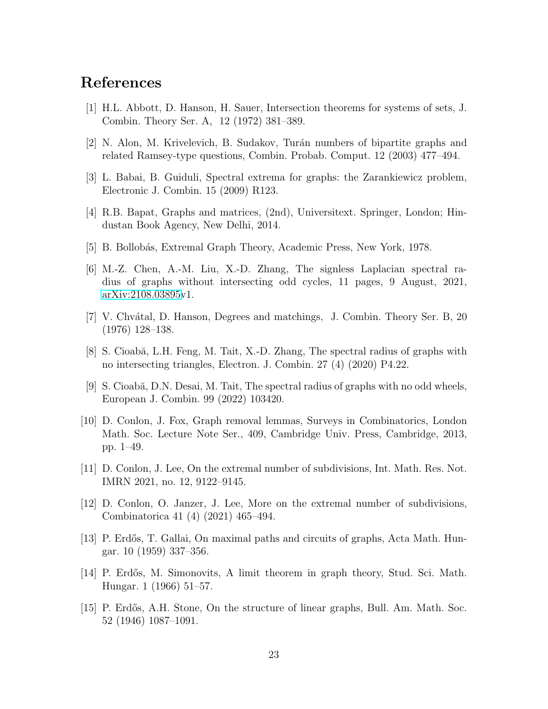## References

- <span id="page-22-13"></span>[1] H.L. Abbott, D. Hanson, H. Sauer, Intersection theorems for systems of sets, J. Combin. Theory Ser. A, 12 (1972) 381–389.
- <span id="page-22-3"></span>[2] N. Alon, M. Krivelevich, B. Sudakov, Tur´an numbers of bipartite graphs and related Ramsey-type questions, Combin. Probab. Comput. 12 (2003) 477–494.
- <span id="page-22-7"></span>[3] L. Babai, B. Guiduli, Spectral extrema for graphs: the Zarankiewicz problem, Electronic J. Combin. 15 (2009) R123.
- <span id="page-22-6"></span>[4] R.B. Bapat, Graphs and matrices, (2nd), Universitext. Springer, London; Hindustan Book Agency, New Delhi, 2014.
- <span id="page-22-0"></span>[5] B. Bollobás, Extremal Graph Theory, Academic Press, New York, 1978.
- <span id="page-22-14"></span>[6] M.-Z. Chen, A.-M. Liu, X.-D. Zhang, The signless Laplacian spectral radius of graphs without intersecting odd cycles, 11 pages, 9 August, 2021, [arXiv:2108.03895v](http://arxiv.org/abs/2108.03895)1.
- <span id="page-22-12"></span>[7] V. Chv´atal, D. Hanson, Degrees and matchings, J. Combin. Theory Ser. B, 20 (1976) 128–138.
- <span id="page-22-8"></span>[8] S. Cioabă, L.H. Feng, M. Tait, X.-D. Zhang, The spectral radius of graphs with no intersecting triangles, Electron. J. Combin. 27 (4) (2020) P4.22.
- <span id="page-22-9"></span>[9] S. Cioabă, D.N. Desai, M. Tait, The spectral radius of graphs with no odd wheels, European J. Combin. 99 (2022) 103420.
- <span id="page-22-11"></span>[10] D. Conlon, J. Fox, Graph removal lemmas, Surveys in Combinatorics, London Math. Soc. Lecture Note Ser., 409, Cambridge Univ. Press, Cambridge, 2013, pp. 1–49.
- <span id="page-22-4"></span>[11] D. Conlon, J. Lee, On the extremal number of subdivisions, Int. Math. Res. Not. IMRN 2021, no. 12, 9122–9145.
- <span id="page-22-5"></span>[12] D. Conlon, O. Janzer, J. Lee, More on the extremal number of subdivisions, Combinatorica 41 (4) (2021) 465–494.
- <span id="page-22-10"></span>[13] P. Erd˝os, T. Gallai, On maximal paths and circuits of graphs, Acta Math. Hungar. 10 (1959) 337–356.
- <span id="page-22-2"></span>[14] P. Erd˝os, M. Simonovits, A limit theorem in graph theory, Stud. Sci. Math. Hungar. 1 (1966) 51–57.
- <span id="page-22-1"></span>[15] P. Erdős, A.H. Stone, On the structure of linear graphs, Bull. Am. Math. Soc. 52 (1946) 1087–1091.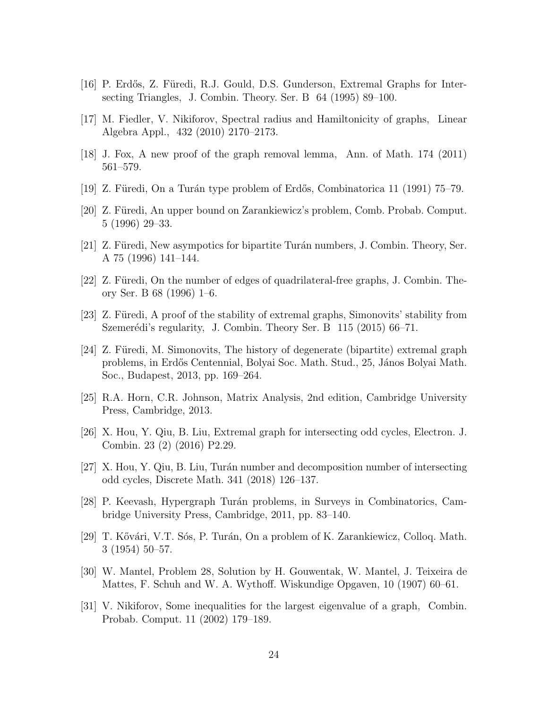- <span id="page-23-6"></span>[16] P. Erdős, Z. Füredi, R.J. Gould, D.S. Gunderson, Extremal Graphs for Intersecting Triangles, J. Combin. Theory. Ser. B 64 (1995) 89–100.
- <span id="page-23-12"></span>[17] M. Fiedler, V. Nikiforov, Spectral radius and Hamiltonicity of graphs, Linear Algebra Appl., 432 (2010) 2170–2173.
- <span id="page-23-14"></span>[18] J. Fox, A new proof of the graph removal lemma, Ann. of Math. 174 (2011) 561–579.
- <span id="page-23-8"></span>[19] Z. Füredi, On a Turán type problem of Erdős, Combinatorica 11 (1991)  $75-79$ .
- <span id="page-23-4"></span>[20] Z. Füredi, An upper bound on Zarankiewicz's problem, Comb. Probab. Comput. 5 (1996) 29–33.
- <span id="page-23-5"></span>[21] Z. Füredi, New asympotics for bipartite Turán numbers, J. Combin. Theory, Ser. A 75 (1996) 141–144.
- <span id="page-23-13"></span>[22] Z. Füredi, On the number of edges of quadrilateral-free graphs, J. Combin. Theory Ser. B 68 (1996) 1–6.
- <span id="page-23-15"></span>[23] Z. Füredi, A proof of the stability of extremal graphs, Simonovits' stability from Szemerédi's regularity, J. Combin. Theory Ser. B 115 (2015) 66–71.
- <span id="page-23-0"></span>[24] Z. Füredi, M. Simonovits, The history of degenerate (bipartite) extremal graph problems, in Erdős Centennial, Bolyai Soc. Math. Stud., 25, János Bolyai Math. Soc., Budapest, 2013, pp. 169–264.
- <span id="page-23-10"></span>[25] R.A. Horn, C.R. Johnson, Matrix Analysis, 2nd edition, Cambridge University Press, Cambridge, 2013.
- <span id="page-23-7"></span>[26] X. Hou, Y. Qiu, B. Liu, Extremal graph for intersecting odd cycles, Electron. J. Combin. 23 (2) (2016) P2.29.
- <span id="page-23-9"></span>[27] X. Hou, Y. Qiu, B. Liu, Tur´an number and decomposition number of intersecting odd cycles, Discrete Math. 341 (2018) 126–137.
- <span id="page-23-1"></span>[28] P. Keevash, Hypergraph Tur´an problems, in Surveys in Combinatorics, Cambridge University Press, Cambridge, 2011, pp. 83–140.
- <span id="page-23-3"></span>[29] T. Kővári, V.T. Sós, P. Turán, On a problem of K. Zarankiewicz, Colloq. Math. 3 (1954) 50–57.
- <span id="page-23-2"></span>[30] W. Mantel, Problem 28, Solution by H. Gouwentak, W. Mantel, J. Teixeira de Mattes, F. Schuh and W. A. Wythoff. Wiskundige Opgaven, 10 (1907) 60–61.
- <span id="page-23-11"></span>[31] V. Nikiforov, Some inequalities for the largest eigenvalue of a graph, Combin. Probab. Comput. 11 (2002) 179–189.